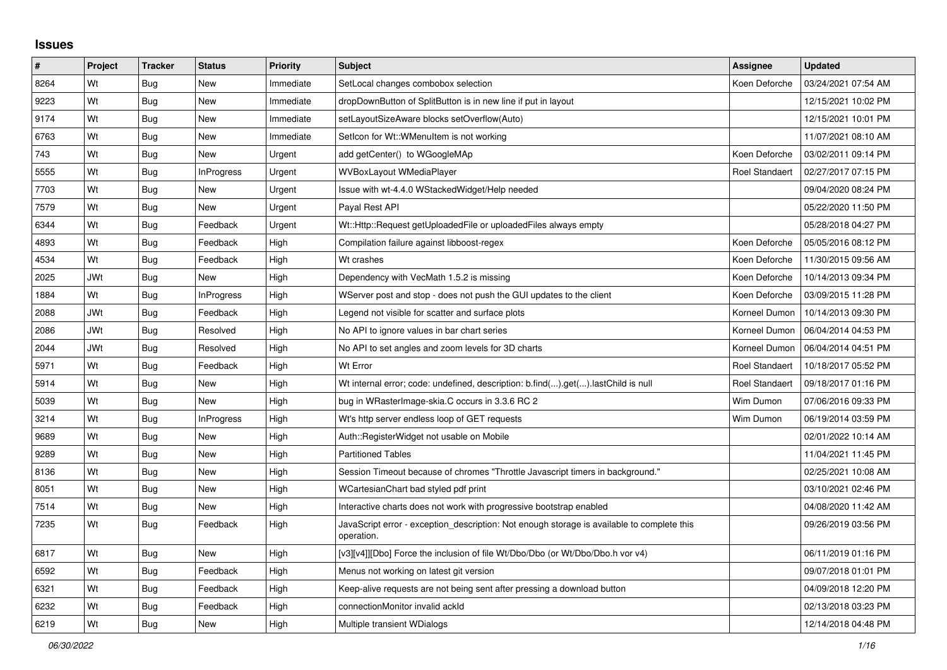## **Issues**

| $\sharp$ | Project    | <b>Tracker</b> | <b>Status</b>     | <b>Priority</b> | <b>Subject</b>                                                                                           | Assignee              | <b>Updated</b>      |
|----------|------------|----------------|-------------------|-----------------|----------------------------------------------------------------------------------------------------------|-----------------------|---------------------|
| 8264     | Wt         | <b>Bug</b>     | New               | Immediate       | SetLocal changes combobox selection                                                                      | Koen Deforche         | 03/24/2021 07:54 AM |
| 9223     | Wt         | Bug            | <b>New</b>        | Immediate       | dropDownButton of SplitButton is in new line if put in layout                                            |                       | 12/15/2021 10:02 PM |
| 9174     | Wt         | <b>Bug</b>     | <b>New</b>        | Immediate       | setLayoutSizeAware blocks setOverflow(Auto)                                                              |                       | 12/15/2021 10:01 PM |
| 6763     | Wt         | Bug            | <b>New</b>        | Immediate       | Setlcon for Wt:: WMenuItem is not working                                                                |                       | 11/07/2021 08:10 AM |
| 743      | Wt         | Bug            | <b>New</b>        | Urgent          | add getCenter() to WGoogleMAp                                                                            | Koen Deforche         | 03/02/2011 09:14 PM |
| 5555     | Wt         | Bug            | InProgress        | Urgent          | <b>WVBoxLayout WMediaPlayer</b>                                                                          | <b>Roel Standaert</b> | 02/27/2017 07:15 PM |
| 7703     | Wt         | Bug            | <b>New</b>        | Urgent          | Issue with wt-4.4.0 WStackedWidget/Help needed                                                           |                       | 09/04/2020 08:24 PM |
| 7579     | Wt         | <b>Bug</b>     | <b>New</b>        | Urgent          | Payal Rest API                                                                                           |                       | 05/22/2020 11:50 PM |
| 6344     | Wt         | Bug            | Feedback          | Urgent          | Wt::Http::Request getUploadedFile or uploadedFiles always empty                                          |                       | 05/28/2018 04:27 PM |
| 4893     | Wt         | Bug            | Feedback          | High            | Compilation failure against libboost-regex                                                               | Koen Deforche         | 05/05/2016 08:12 PM |
| 4534     | Wt         | Bug            | Feedback          | High            | Wt crashes                                                                                               | Koen Deforche         | 11/30/2015 09:56 AM |
| 2025     | <b>JWt</b> | Bug            | <b>New</b>        | High            | Dependency with VecMath 1.5.2 is missing                                                                 | Koen Deforche         | 10/14/2013 09:34 PM |
| 1884     | Wt         | <b>Bug</b>     | <b>InProgress</b> | High            | WServer post and stop - does not push the GUI updates to the client                                      | Koen Deforche         | 03/09/2015 11:28 PM |
| 2088     | <b>JWt</b> | Bug            | Feedback          | High            | Legend not visible for scatter and surface plots                                                         | Korneel Dumon         | 10/14/2013 09:30 PM |
| 2086     | <b>JWt</b> | Bug            | Resolved          | High            | No API to ignore values in bar chart series                                                              | Korneel Dumon         | 06/04/2014 04:53 PM |
| 2044     | <b>JWt</b> | Bug            | Resolved          | High            | No API to set angles and zoom levels for 3D charts                                                       | Korneel Dumon         | 06/04/2014 04:51 PM |
| 5971     | Wt         | Bug            | Feedback          | High            | Wt Error                                                                                                 | <b>Roel Standaert</b> | 10/18/2017 05:52 PM |
| 5914     | Wt         | <b>Bug</b>     | New               | High            | Wt internal error; code: undefined, description: b.find().get().lastChild is null                        | Roel Standaert        | 09/18/2017 01:16 PM |
| 5039     | Wt         | Bug            | <b>New</b>        | High            | bug in WRasterImage-skia.C occurs in 3.3.6 RC 2                                                          | Wim Dumon             | 07/06/2016 09:33 PM |
| 3214     | Wt         | Bug            | <b>InProgress</b> | High            | Wt's http server endless loop of GET requests                                                            | Wim Dumon             | 06/19/2014 03:59 PM |
| 9689     | Wt         | Bug            | New               | High            | Auth::RegisterWidget not usable on Mobile                                                                |                       | 02/01/2022 10:14 AM |
| 9289     | Wt         | Bug            | <b>New</b>        | High            | <b>Partitioned Tables</b>                                                                                |                       | 11/04/2021 11:45 PM |
| 8136     | Wt         | Bug            | <b>New</b>        | High            | Session Timeout because of chromes "Throttle Javascript timers in background."                           |                       | 02/25/2021 10:08 AM |
| 8051     | Wt         | Bug            | <b>New</b>        | High            | WCartesianChart bad styled pdf print                                                                     |                       | 03/10/2021 02:46 PM |
| 7514     | Wt         | Bug            | <b>New</b>        | High            | Interactive charts does not work with progressive bootstrap enabled                                      |                       | 04/08/2020 11:42 AM |
| 7235     | Wt         | Bug            | Feedback          | High            | JavaScript error - exception description: Not enough storage is available to complete this<br>operation. |                       | 09/26/2019 03:56 PM |
| 6817     | Wt         | Bug            | <b>New</b>        | High            | [v3][v4]][Dbo] Force the inclusion of file Wt/Dbo/Dbo (or Wt/Dbo/Dbo.h vor v4)                           |                       | 06/11/2019 01:16 PM |
| 6592     | Wt         | <b>Bug</b>     | Feedback          | High            | Menus not working on latest git version                                                                  |                       | 09/07/2018 01:01 PM |
| 6321     | Wt         | Bug            | Feedback          | High            | Keep-alive requests are not being sent after pressing a download button                                  |                       | 04/09/2018 12:20 PM |
| 6232     | Wt         | <b>Bug</b>     | Feedback          | High            | connectionMonitor invalid ackId                                                                          |                       | 02/13/2018 03:23 PM |
| 6219     | Wt         | <b>Bug</b>     | <b>New</b>        | High            | Multiple transient WDialogs                                                                              |                       | 12/14/2018 04:48 PM |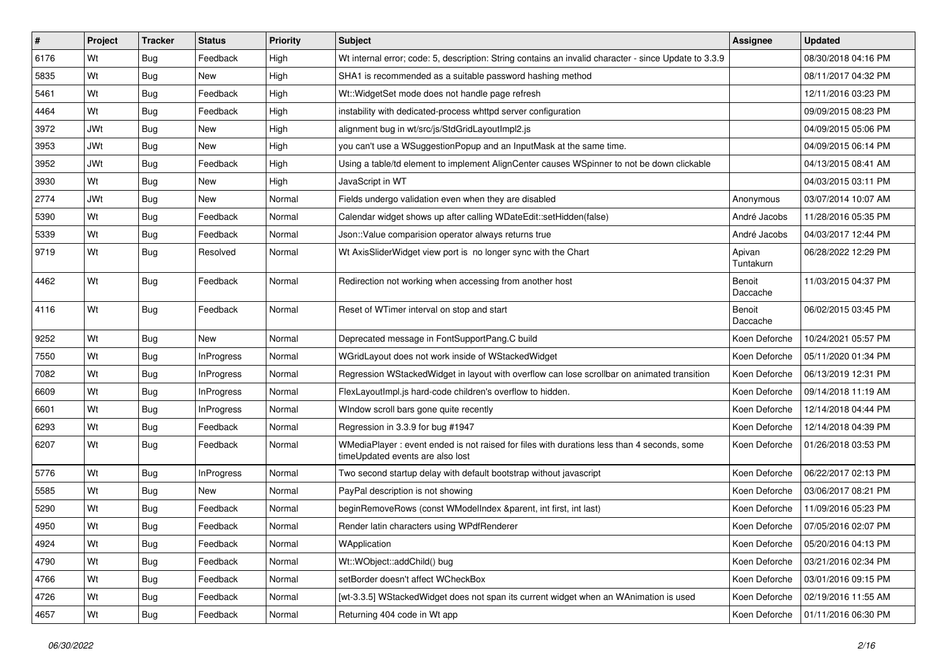| #    | Project    | <b>Tracker</b> | <b>Status</b>     | <b>Priority</b> | Subject                                                                                                                        | Assignee            | <b>Updated</b>      |
|------|------------|----------------|-------------------|-----------------|--------------------------------------------------------------------------------------------------------------------------------|---------------------|---------------------|
| 6176 | Wt         | <b>Bug</b>     | Feedback          | High            | Wt internal error; code: 5, description: String contains an invalid character - since Update to 3.3.9                          |                     | 08/30/2018 04:16 PM |
| 5835 | Wt         | Bug            | New               | High            | SHA1 is recommended as a suitable password hashing method                                                                      |                     | 08/11/2017 04:32 PM |
| 5461 | Wt         | Bug            | Feedback          | High            | Wt:: WidgetSet mode does not handle page refresh                                                                               |                     | 12/11/2016 03:23 PM |
| 4464 | Wt         | Bug            | Feedback          | High            | instability with dedicated-process whttpd server configuration                                                                 |                     | 09/09/2015 08:23 PM |
| 3972 | <b>JWt</b> | Bug            | <b>New</b>        | High            | alignment bug in wt/src/js/StdGridLayoutImpl2.js                                                                               |                     | 04/09/2015 05:06 PM |
| 3953 | <b>JWt</b> | Bug            | New               | High            | you can't use a WSuggestionPopup and an InputMask at the same time.                                                            |                     | 04/09/2015 06:14 PM |
| 3952 | <b>JWt</b> | <b>Bug</b>     | Feedback          | High            | Using a table/td element to implement AlignCenter causes WSpinner to not be down clickable                                     |                     | 04/13/2015 08:41 AM |
| 3930 | Wt         | Bug            | <b>New</b>        | High            | JavaScript in WT                                                                                                               |                     | 04/03/2015 03:11 PM |
| 2774 | <b>JWt</b> | Bug            | New               | Normal          | Fields undergo validation even when they are disabled                                                                          | Anonymous           | 03/07/2014 10:07 AM |
| 5390 | Wt         | Bug            | Feedback          | Normal          | Calendar widget shows up after calling WDateEdit::setHidden(false)                                                             | André Jacobs        | 11/28/2016 05:35 PM |
| 5339 | Wt         | <b>Bug</b>     | Feedback          | Normal          | Json::Value comparision operator always returns true                                                                           | André Jacobs        | 04/03/2017 12:44 PM |
| 9719 | Wt         | <b>Bug</b>     | Resolved          | Normal          | Wt AxisSliderWidget view port is no longer sync with the Chart                                                                 | Apivan<br>Tuntakurn | 06/28/2022 12:29 PM |
| 4462 | Wt         | Bug            | Feedback          | Normal          | Redirection not working when accessing from another host                                                                       | Benoit<br>Daccache  | 11/03/2015 04:37 PM |
| 4116 | Wt         | Bug            | Feedback          | Normal          | Reset of WTimer interval on stop and start                                                                                     | Benoit<br>Daccache  | 06/02/2015 03:45 PM |
| 9252 | Wt         | Bug            | <b>New</b>        | Normal          | Deprecated message in FontSupportPang.C build                                                                                  | Koen Deforche       | 10/24/2021 05:57 PM |
| 7550 | Wt         | <b>Bug</b>     | <b>InProgress</b> | Normal          | WGridLayout does not work inside of WStackedWidget                                                                             | Koen Deforche       | 05/11/2020 01:34 PM |
| 7082 | Wt         | Bug            | <b>InProgress</b> | Normal          | Regression WStackedWidget in layout with overflow can lose scrollbar on animated transition                                    | Koen Deforche       | 06/13/2019 12:31 PM |
| 6609 | Wt         | Bug            | <b>InProgress</b> | Normal          | FlexLayoutImpl.js hard-code children's overflow to hidden.                                                                     | Koen Deforche       | 09/14/2018 11:19 AM |
| 6601 | Wt         | <b>Bug</b>     | InProgress        | Normal          | Window scroll bars gone quite recently                                                                                         | Koen Deforche       | 12/14/2018 04:44 PM |
| 6293 | Wt         | <b>Bug</b>     | Feedback          | Normal          | Regression in 3.3.9 for bug #1947                                                                                              | Koen Deforche       | 12/14/2018 04:39 PM |
| 6207 | Wt         | Bug            | Feedback          | Normal          | WMediaPlayer: event ended is not raised for files with durations less than 4 seconds, some<br>timeUpdated events are also lost | Koen Deforche       | 01/26/2018 03:53 PM |
| 5776 | Wt         | Bug            | InProgress        | Normal          | Two second startup delay with default bootstrap without javascript                                                             | Koen Deforche       | 06/22/2017 02:13 PM |
| 5585 | Wt         | <b>Bug</b>     | New               | Normal          | PayPal description is not showing                                                                                              | Koen Deforche       | 03/06/2017 08:21 PM |
| 5290 | Wt         | <b>Bug</b>     | Feedback          | Normal          | beginRemoveRows (const WModelIndex &parent, int first, int last)                                                               | Koen Deforche       | 11/09/2016 05:23 PM |
| 4950 | Wt         | Bug            | Feedback          | Normal          | Render latin characters using WPdfRenderer                                                                                     | Koen Deforche       | 07/05/2016 02:07 PM |
| 4924 | Wt         | <b>Bug</b>     | Feedback          | Normal          | WApplication                                                                                                                   | Koen Deforche       | 05/20/2016 04:13 PM |
| 4790 | Wt         | Bug            | Feedback          | Normal          | Wt::WObject::addChild() bug                                                                                                    | Koen Deforche       | 03/21/2016 02:34 PM |
| 4766 | Wt         | <b>Bug</b>     | Feedback          | Normal          | setBorder doesn't affect WCheckBox                                                                                             | Koen Deforche       | 03/01/2016 09:15 PM |
| 4726 | Wt         | <b>Bug</b>     | Feedback          | Normal          | [wt-3.3.5] WStackedWidget does not span its current widget when an WAnimation is used                                          | Koen Deforche       | 02/19/2016 11:55 AM |
| 4657 | Wt         | <b>Bug</b>     | Feedback          | Normal          | Returning 404 code in Wt app                                                                                                   | Koen Deforche       | 01/11/2016 06:30 PM |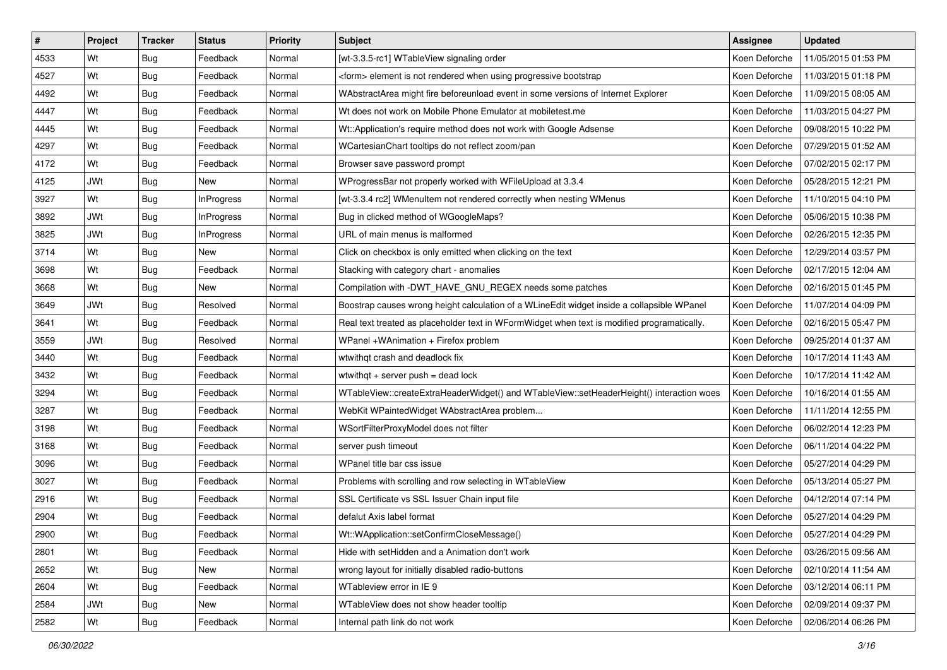| #    | <b>Project</b> | <b>Tracker</b> | <b>Status</b>     | <b>Priority</b> | <b>Subject</b>                                                                              | Assignee      | <b>Updated</b>                      |
|------|----------------|----------------|-------------------|-----------------|---------------------------------------------------------------------------------------------|---------------|-------------------------------------|
| 4533 | Wt             | Bug            | Feedback          | Normal          | [wt-3.3.5-rc1] WTableView signaling order                                                   | Koen Deforche | 11/05/2015 01:53 PM                 |
| 4527 | Wt             | Bug            | Feedback          | Normal          | <form> element is not rendered when using progressive bootstrap</form>                      | Koen Deforche | 11/03/2015 01:18 PM                 |
| 4492 | Wt             | <b>Bug</b>     | Feedback          | Normal          | WAbstractArea might fire beforeunload event in some versions of Internet Explorer           | Koen Deforche | 11/09/2015 08:05 AM                 |
| 4447 | Wt             | <b>Bug</b>     | Feedback          | Normal          | Wt does not work on Mobile Phone Emulator at mobiletest.me                                  | Koen Deforche | 11/03/2015 04:27 PM                 |
| 4445 | Wt             | <b>Bug</b>     | Feedback          | Normal          | Wt::Application's require method does not work with Google Adsense                          | Koen Deforche | 09/08/2015 10:22 PM                 |
| 4297 | Wt             | <b>Bug</b>     | Feedback          | Normal          | WCartesianChart tooltips do not reflect zoom/pan                                            | Koen Deforche | 07/29/2015 01:52 AM                 |
| 4172 | Wt             | <b>Bug</b>     | Feedback          | Normal          | Browser save password prompt                                                                | Koen Deforche | 07/02/2015 02:17 PM                 |
| 4125 | <b>JWt</b>     | <b>Bug</b>     | New               | Normal          | WProgressBar not properly worked with WFileUpload at 3.3.4                                  | Koen Deforche | 05/28/2015 12:21 PM                 |
| 3927 | Wt             | <b>Bug</b>     | <b>InProgress</b> | Normal          | [wt-3.3.4 rc2] WMenuItem not rendered correctly when nesting WMenus                         | Koen Deforche | 11/10/2015 04:10 PM                 |
| 3892 | <b>JWt</b>     | Bug            | <b>InProgress</b> | Normal          | Bug in clicked method of WGoogleMaps?                                                       | Koen Deforche | 05/06/2015 10:38 PM                 |
| 3825 | <b>JWt</b>     | <b>Bug</b>     | <b>InProgress</b> | Normal          | URL of main menus is malformed                                                              | Koen Deforche | 02/26/2015 12:35 PM                 |
| 3714 | Wt             | <b>Bug</b>     | New               | Normal          | Click on checkbox is only emitted when clicking on the text                                 | Koen Deforche | 12/29/2014 03:57 PM                 |
| 3698 | Wt             | Bug            | Feedback          | Normal          | Stacking with category chart - anomalies                                                    | Koen Deforche | 02/17/2015 12:04 AM                 |
| 3668 | Wt             | <b>Bug</b>     | New               | Normal          | Compilation with -DWT_HAVE_GNU_REGEX needs some patches                                     | Koen Deforche | 02/16/2015 01:45 PM                 |
| 3649 | <b>JWt</b>     | <b>Bug</b>     | Resolved          | Normal          | Boostrap causes wrong height calculation of a WLineEdit widget inside a collapsible WPanel  | Koen Deforche | 11/07/2014 04:09 PM                 |
| 3641 | Wt             | <b>Bug</b>     | Feedback          | Normal          | Real text treated as placeholder text in WFormWidget when text is modified programatically. | Koen Deforche | 02/16/2015 05:47 PM                 |
| 3559 | <b>JWt</b>     | <b>Bug</b>     | Resolved          | Normal          | WPanel +WAnimation + Firefox problem                                                        | Koen Deforche | 09/25/2014 01:37 AM                 |
| 3440 | Wt             | <b>Bug</b>     | Feedback          | Normal          | wtwithgt crash and deadlock fix                                                             | Koen Deforche | 10/17/2014 11:43 AM                 |
| 3432 | Wt             | <b>Bug</b>     | Feedback          | Normal          | wtwithqt + server push = dead lock                                                          | Koen Deforche | 10/17/2014 11:42 AM                 |
| 3294 | Wt             | Bug            | Feedback          | Normal          | WTableView::createExtraHeaderWidget() and WTableView::setHeaderHeight() interaction woes    | Koen Deforche | 10/16/2014 01:55 AM                 |
| 3287 | Wt             | <b>Bug</b>     | Feedback          | Normal          | WebKit WPaintedWidget WAbstractArea problem                                                 | Koen Deforche | 11/11/2014 12:55 PM                 |
| 3198 | Wt             | <b>Bug</b>     | Feedback          | Normal          | WSortFilterProxyModel does not filter                                                       | Koen Deforche | 06/02/2014 12:23 PM                 |
| 3168 | Wt             | Bug            | Feedback          | Normal          | server push timeout                                                                         | Koen Deforche | 06/11/2014 04:22 PM                 |
| 3096 | Wt             | Bug            | Feedback          | Normal          | WPanel title bar css issue                                                                  | Koen Deforche | 05/27/2014 04:29 PM                 |
| 3027 | Wt             | <b>Bug</b>     | Feedback          | Normal          | Problems with scrolling and row selecting in WTableView                                     | Koen Deforche | 05/13/2014 05:27 PM                 |
| 2916 | Wt             | <b>Bug</b>     | Feedback          | Normal          | SSL Certificate vs SSL Issuer Chain input file                                              | Koen Deforche | 04/12/2014 07:14 PM                 |
| 2904 | Wt             | <b>Bug</b>     | Feedback          | Normal          | defalut Axis label format                                                                   | Koen Deforche | 05/27/2014 04:29 PM                 |
| 2900 | Wt             | Bug            | Feedback          | Normal          | Wt::WApplication::setConfirmCloseMessage()                                                  |               | Koen Deforche   05/27/2014 04:29 PM |
| 2801 | Wt             | Bug            | Feedback          | Normal          | Hide with setHidden and a Animation don't work                                              | Koen Deforche | 03/26/2015 09:56 AM                 |
| 2652 | Wt             | Bug            | New               | Normal          | wrong layout for initially disabled radio-buttons                                           | Koen Deforche | 02/10/2014 11:54 AM                 |
| 2604 | Wt             | Bug            | Feedback          | Normal          | WTableview error in IE 9                                                                    | Koen Deforche | 03/12/2014 06:11 PM                 |
| 2584 | <b>JWt</b>     | <b>Bug</b>     | New               | Normal          | WTableView does not show header tooltip                                                     | Koen Deforche | 02/09/2014 09:37 PM                 |
| 2582 | Wt             | <b>Bug</b>     | Feedback          | Normal          | Internal path link do not work                                                              | Koen Deforche | 02/06/2014 06:26 PM                 |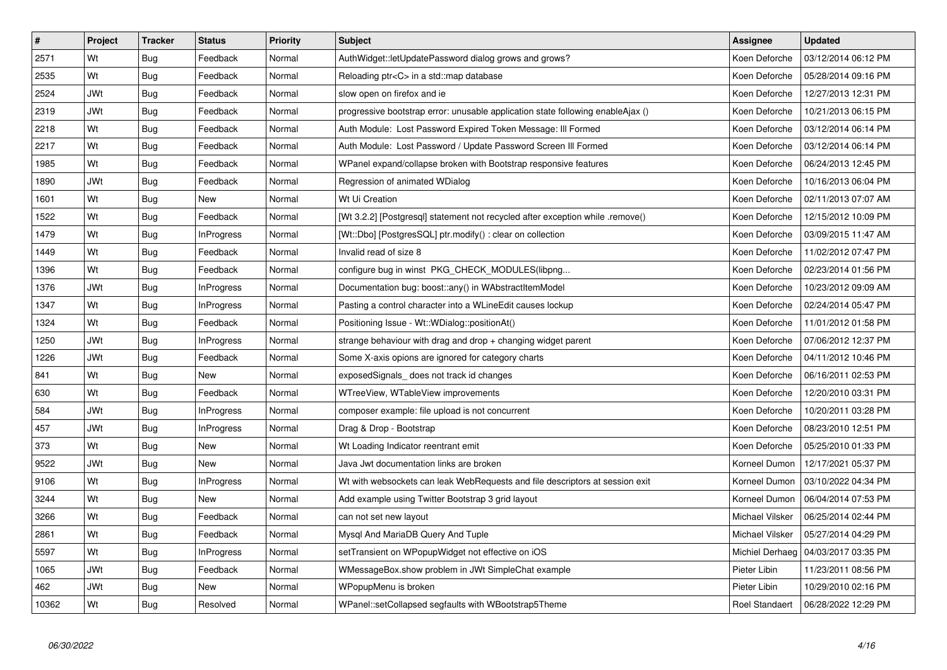| $\vert$ # | Project    | <b>Tracker</b> | <b>Status</b>     | Priority | <b>Subject</b>                                                                  | Assignee        | <b>Updated</b>                        |
|-----------|------------|----------------|-------------------|----------|---------------------------------------------------------------------------------|-----------------|---------------------------------------|
| 2571      | Wt         | Bug            | Feedback          | Normal   | AuthWidget::letUpdatePassword dialog grows and grows?                           | Koen Deforche   | 03/12/2014 06:12 PM                   |
| 2535      | Wt         | <b>Bug</b>     | Feedback          | Normal   | Reloading ptr <c> in a std::map database</c>                                    | Koen Deforche   | 05/28/2014 09:16 PM                   |
| 2524      | JWt        | Bug            | Feedback          | Normal   | slow open on firefox and ie                                                     | Koen Deforche   | 12/27/2013 12:31 PM                   |
| 2319      | <b>JWt</b> | <b>Bug</b>     | Feedback          | Normal   | progressive bootstrap error: unusable application state following enableAjax () | Koen Deforche   | 10/21/2013 06:15 PM                   |
| 2218      | Wt         | Bug            | Feedback          | Normal   | Auth Module: Lost Password Expired Token Message: Ill Formed                    | Koen Deforche   | 03/12/2014 06:14 PM                   |
| 2217      | Wt         | Bug            | Feedback          | Normal   | Auth Module: Lost Password / Update Password Screen III Formed                  | Koen Deforche   | 03/12/2014 06:14 PM                   |
| 1985      | Wt         | Bug            | Feedback          | Normal   | WPanel expand/collapse broken with Bootstrap responsive features                | Koen Deforche   | 06/24/2013 12:45 PM                   |
| 1890      | JWt        | Bug            | Feedback          | Normal   | Regression of animated WDialog                                                  | Koen Deforche   | 10/16/2013 06:04 PM                   |
| 1601      | Wt         | <b>Bug</b>     | New               | Normal   | Wt Ui Creation                                                                  | Koen Deforche   | 02/11/2013 07:07 AM                   |
| 1522      | Wt         | Bug            | Feedback          | Normal   | [Wt 3.2.2] [Postgresql] statement not recycled after exception while .remove()  | Koen Deforche   | 12/15/2012 10:09 PM                   |
| 1479      | Wt         | Bug            | <b>InProgress</b> | Normal   | [Wt::Dbo] [PostgresSQL] ptr.modify() : clear on collection                      | Koen Deforche   | 03/09/2015 11:47 AM                   |
| 1449      | Wt         | Bug            | Feedback          | Normal   | Invalid read of size 8                                                          | Koen Deforche   | 11/02/2012 07:47 PM                   |
| 1396      | Wt         | Bug            | Feedback          | Normal   | configure bug in winst PKG CHECK MODULES (libpng                                | Koen Deforche   | 02/23/2014 01:56 PM                   |
| 1376      | JWt        | Bug            | <b>InProgress</b> | Normal   | Documentation bug: boost::any() in WAbstractItemModel                           | Koen Deforche   | 10/23/2012 09:09 AM                   |
| 1347      | Wt         | <b>Bug</b>     | <b>InProgress</b> | Normal   | Pasting a control character into a WLineEdit causes lockup                      | Koen Deforche   | 02/24/2014 05:47 PM                   |
| 1324      | Wt         | Bug            | Feedback          | Normal   | Positioning Issue - Wt:: WDialog:: positionAt()                                 | Koen Deforche   | 11/01/2012 01:58 PM                   |
| 1250      | <b>JWt</b> | <b>Bug</b>     | <b>InProgress</b> | Normal   | strange behaviour with drag and drop + changing widget parent                   | Koen Deforche   | 07/06/2012 12:37 PM                   |
| 1226      | <b>JWt</b> | Bug            | Feedback          | Normal   | Some X-axis opions are ignored for category charts                              | Koen Deforche   | 04/11/2012 10:46 PM                   |
| 841       | Wt         | <b>Bug</b>     | <b>New</b>        | Normal   | exposedSignals_does not track id changes                                        | Koen Deforche   | 06/16/2011 02:53 PM                   |
| 630       | Wt         | <b>Bug</b>     | Feedback          | Normal   | WTreeView, WTableView improvements                                              | Koen Deforche   | 12/20/2010 03:31 PM                   |
| 584       | <b>JWt</b> | <b>Bug</b>     | InProgress        | Normal   | composer example: file upload is not concurrent                                 | Koen Deforche   | 10/20/2011 03:28 PM                   |
| 457       | <b>JWt</b> | <b>Bug</b>     | <b>InProgress</b> | Normal   | Drag & Drop - Bootstrap                                                         | Koen Deforche   | 08/23/2010 12:51 PM                   |
| 373       | Wt         | <b>Bug</b>     | <b>New</b>        | Normal   | Wt Loading Indicator reentrant emit                                             | Koen Deforche   | 05/25/2010 01:33 PM                   |
| 9522      | JWt        | Bug            | <b>New</b>        | Normal   | Java Jwt documentation links are broken                                         | Korneel Dumon   | 12/17/2021 05:37 PM                   |
| 9106      | Wt         | <b>Bug</b>     | <b>InProgress</b> | Normal   | Wt with websockets can leak WebRequests and file descriptors at session exit    | Korneel Dumon   | 03/10/2022 04:34 PM                   |
| 3244      | Wt         | <b>Bug</b>     | New               | Normal   | Add example using Twitter Bootstrap 3 grid layout                               | Korneel Dumon   | 06/04/2014 07:53 PM                   |
| 3266      | Wt         | Bug            | Feedback          | Normal   | can not set new layout                                                          | Michael Vilsker | 06/25/2014 02:44 PM                   |
| 2861      | Wt         | Bug            | Feedback          | Normal   | Mysql And MariaDB Query And Tuple                                               | Michael Vilsker | 05/27/2014 04:29 PM                   |
| 5597      | Wt         | Bug            | InProgress        | Normal   | setTransient on WPopupWidget not effective on iOS                               |                 | Michiel Derhaeg   04/03/2017 03:35 PM |
| 1065      | JWt        | Bug            | Feedback          | Normal   | WMessageBox.show problem in JWt SimpleChat example                              | Pieter Libin    | 11/23/2011 08:56 PM                   |
| 462       | JWt        | Bug            | New               | Normal   | WPopupMenu is broken                                                            | Pieter Libin    | 10/29/2010 02:16 PM                   |
| 10362     | Wt         | Bug            | Resolved          | Normal   | WPanel::setCollapsed segfaults with WBootstrap5Theme                            | Roel Standaert  | 06/28/2022 12:29 PM                   |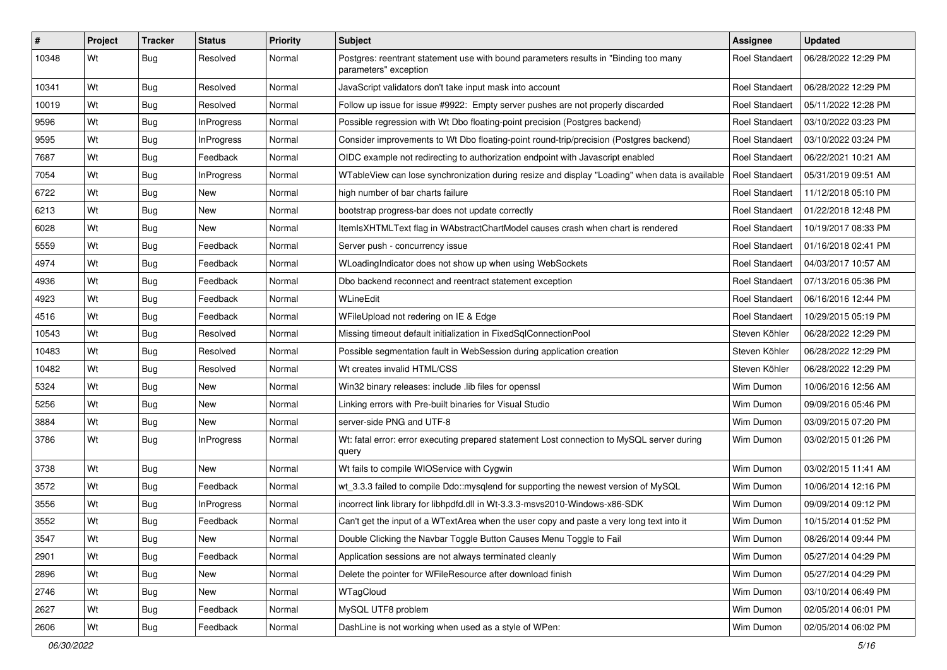| #     | Project | <b>Tracker</b> | <b>Status</b>     | <b>Priority</b> | <b>Subject</b>                                                                                                | Assignee              | <b>Updated</b>      |
|-------|---------|----------------|-------------------|-----------------|---------------------------------------------------------------------------------------------------------------|-----------------------|---------------------|
| 10348 | Wt      | Bug            | Resolved          | Normal          | Postgres: reentrant statement use with bound parameters results in "Binding too many<br>parameters" exception | <b>Roel Standaert</b> | 06/28/2022 12:29 PM |
| 10341 | Wt      | Bug            | Resolved          | Normal          | JavaScript validators don't take input mask into account                                                      | Roel Standaert        | 06/28/2022 12:29 PM |
| 10019 | Wt      | <b>Bug</b>     | Resolved          | Normal          | Follow up issue for issue #9922: Empty server pushes are not properly discarded                               | <b>Roel Standaert</b> | 05/11/2022 12:28 PM |
| 9596  | Wt      | Bug            | <b>InProgress</b> | Normal          | Possible regression with Wt Dbo floating-point precision (Postgres backend)                                   | <b>Roel Standaert</b> | 03/10/2022 03:23 PM |
| 9595  | Wt      | Bug            | <b>InProgress</b> | Normal          | Consider improvements to Wt Dbo floating-point round-trip/precision (Postgres backend)                        | <b>Roel Standaert</b> | 03/10/2022 03:24 PM |
| 7687  | Wt      | Bug            | Feedback          | Normal          | OIDC example not redirecting to authorization endpoint with Javascript enabled                                | <b>Roel Standaert</b> | 06/22/2021 10:21 AM |
| 7054  | Wt      | Bug            | <b>InProgress</b> | Normal          | WTableView can lose synchronization during resize and display "Loading" when data is available                | Roel Standaert        | 05/31/2019 09:51 AM |
| 6722  | Wt      | Bug            | New               | Normal          | high number of bar charts failure                                                                             | <b>Roel Standaert</b> | 11/12/2018 05:10 PM |
| 6213  | Wt      | Bug            | <b>New</b>        | Normal          | bootstrap progress-bar does not update correctly                                                              | <b>Roel Standaert</b> | 01/22/2018 12:48 PM |
| 6028  | Wt      | Bug            | New               | Normal          | ItemIsXHTMLText flag in WAbstractChartModel causes crash when chart is rendered                               | <b>Roel Standaert</b> | 10/19/2017 08:33 PM |
| 5559  | Wt      | Bug            | Feedback          | Normal          | Server push - concurrency issue                                                                               | <b>Roel Standaert</b> | 01/16/2018 02:41 PM |
| 4974  | Wt      | Bug            | Feedback          | Normal          | WLoadingIndicator does not show up when using WebSockets                                                      | Roel Standaert        | 04/03/2017 10:57 AM |
| 4936  | Wt      | Bug            | Feedback          | Normal          | Dbo backend reconnect and reentract statement exception                                                       | Roel Standaert        | 07/13/2016 05:36 PM |
| 4923  | Wt      | Bug            | Feedback          | Normal          | WLineEdit                                                                                                     | <b>Roel Standaert</b> | 06/16/2016 12:44 PM |
| 4516  | Wt      | Bug            | Feedback          | Normal          | WFileUpload not redering on IE & Edge                                                                         | <b>Roel Standaert</b> | 10/29/2015 05:19 PM |
| 10543 | Wt      | Bug            | Resolved          | Normal          | Missing timeout default initialization in FixedSqlConnectionPool                                              | Steven Köhler         | 06/28/2022 12:29 PM |
| 10483 | Wt      | Bug            | Resolved          | Normal          | Possible segmentation fault in WebSession during application creation                                         | Steven Köhler         | 06/28/2022 12:29 PM |
| 10482 | Wt      | Bug            | Resolved          | Normal          | Wt creates invalid HTML/CSS                                                                                   | Steven Köhler         | 06/28/2022 12:29 PM |
| 5324  | Wt      | Bug            | <b>New</b>        | Normal          | Win32 binary releases: include .lib files for openssl                                                         | Wim Dumon             | 10/06/2016 12:56 AM |
| 5256  | Wt      | <b>Bug</b>     | New               | Normal          | Linking errors with Pre-built binaries for Visual Studio                                                      | Wim Dumon             | 09/09/2016 05:46 PM |
| 3884  | Wt      | Bug            | New               | Normal          | server-side PNG and UTF-8                                                                                     | Wim Dumon             | 03/09/2015 07:20 PM |
| 3786  | Wt      | Bug            | <b>InProgress</b> | Normal          | Wt: fatal error: error executing prepared statement Lost connection to MySQL server during<br>query           | Wim Dumon             | 03/02/2015 01:26 PM |
| 3738  | Wt      | Bug            | New               | Normal          | Wt fails to compile WIOService with Cygwin                                                                    | Wim Dumon             | 03/02/2015 11:41 AM |
| 3572  | Wt      | Bug            | Feedback          | Normal          | wt_3.3.3 failed to compile Ddo::mysqlend for supporting the newest version of MySQL                           | Wim Dumon             | 10/06/2014 12:16 PM |
| 3556  | Wt      | Bug            | InProgress        | Normal          | incorrect link library for libhpdfd.dll in Wt-3.3.3-msvs2010-Windows-x86-SDK                                  | Wim Dumon             | 09/09/2014 09:12 PM |
| 3552  | Wt      | Bug            | Feedback          | Normal          | Can't get the input of a WTextArea when the user copy and paste a very long text into it                      | Wim Dumon             | 10/15/2014 01:52 PM |
| 3547  | Wt      | <b>Bug</b>     | <b>New</b>        | Normal          | Double Clicking the Navbar Toggle Button Causes Menu Toggle to Fail                                           | Wim Dumon             | 08/26/2014 09:44 PM |
| 2901  | Wt      | <b>Bug</b>     | Feedback          | Normal          | Application sessions are not always terminated cleanly                                                        | Wim Dumon             | 05/27/2014 04:29 PM |
| 2896  | Wt      | <b>Bug</b>     | New               | Normal          | Delete the pointer for WFileResource after download finish                                                    | Wim Dumon             | 05/27/2014 04:29 PM |
| 2746  | Wt      | <b>Bug</b>     | New               | Normal          | WTagCloud                                                                                                     | Wim Dumon             | 03/10/2014 06:49 PM |
| 2627  | Wt      | <b>Bug</b>     | Feedback          | Normal          | MySQL UTF8 problem                                                                                            | Wim Dumon             | 02/05/2014 06:01 PM |
| 2606  | Wt      | <b>Bug</b>     | Feedback          | Normal          | DashLine is not working when used as a style of WPen:                                                         | Wim Dumon             | 02/05/2014 06:02 PM |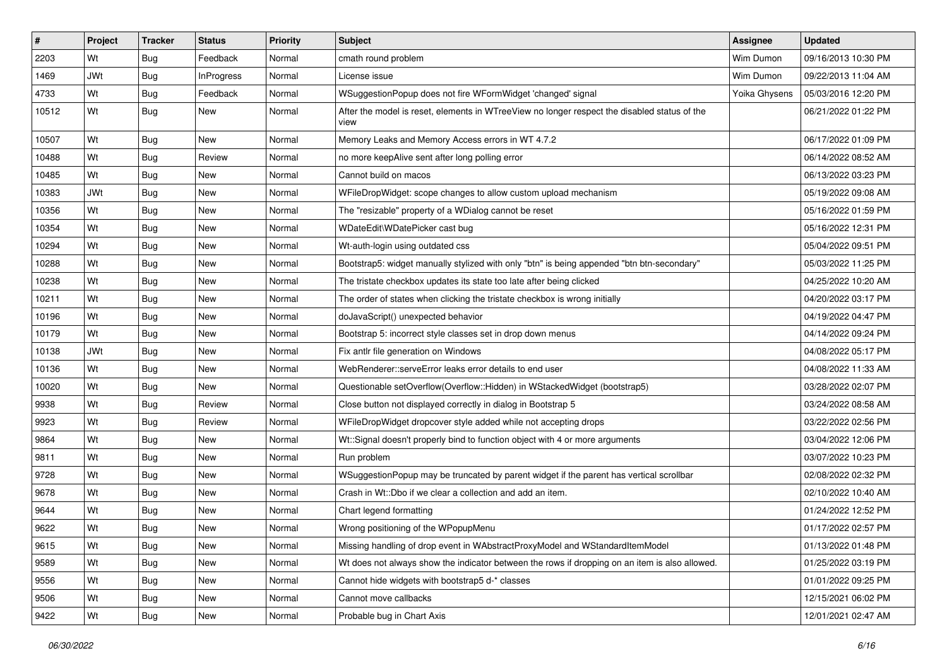| #     | Project    | <b>Tracker</b> | <b>Status</b>     | <b>Priority</b> | <b>Subject</b>                                                                                       | Assignee      | <b>Updated</b>      |
|-------|------------|----------------|-------------------|-----------------|------------------------------------------------------------------------------------------------------|---------------|---------------------|
| 2203  | Wt         | Bug            | Feedback          | Normal          | cmath round problem                                                                                  | Wim Dumon     | 09/16/2013 10:30 PM |
| 1469  | <b>JWt</b> | Bug            | <b>InProgress</b> | Normal          | License issue                                                                                        | Wim Dumon     | 09/22/2013 11:04 AM |
| 4733  | Wt         | Bug            | Feedback          | Normal          | WSuggestionPopup does not fire WFormWidget 'changed' signal                                          | Yoika Ghysens | 05/03/2016 12:20 PM |
| 10512 | Wt         | Bug            | New               | Normal          | After the model is reset, elements in WTreeView no longer respect the disabled status of the<br>view |               | 06/21/2022 01:22 PM |
| 10507 | Wt         | Bug            | New               | Normal          | Memory Leaks and Memory Access errors in WT 4.7.2                                                    |               | 06/17/2022 01:09 PM |
| 10488 | Wt         | Bug            | Review            | Normal          | no more keepAlive sent after long polling error                                                      |               | 06/14/2022 08:52 AM |
| 10485 | Wt         | Bug            | New               | Normal          | Cannot build on macos                                                                                |               | 06/13/2022 03:23 PM |
| 10383 | <b>JWt</b> | Bug            | New               | Normal          | WFileDropWidget: scope changes to allow custom upload mechanism                                      |               | 05/19/2022 09:08 AM |
| 10356 | Wt         | Bug            | New               | Normal          | The "resizable" property of a WDialog cannot be reset                                                |               | 05/16/2022 01:59 PM |
| 10354 | Wt         | Bug            | New               | Normal          | WDateEdit\WDatePicker cast bug                                                                       |               | 05/16/2022 12:31 PM |
| 10294 | Wt         | <b>Bug</b>     | New               | Normal          | Wt-auth-login using outdated css                                                                     |               | 05/04/2022 09:51 PM |
| 10288 | Wt         | Bug            | New               | Normal          | Bootstrap5: widget manually stylized with only "btn" is being appended "btn btn-secondary"           |               | 05/03/2022 11:25 PM |
| 10238 | Wt         | Bug            | New               | Normal          | The tristate checkbox updates its state too late after being clicked                                 |               | 04/25/2022 10:20 AM |
| 10211 | Wt         | Bug            | <b>New</b>        | Normal          | The order of states when clicking the tristate checkbox is wrong initially                           |               | 04/20/2022 03:17 PM |
| 10196 | Wt         | Bug            | New               | Normal          | doJavaScript() unexpected behavior                                                                   |               | 04/19/2022 04:47 PM |
| 10179 | Wt         | Bug            | New               | Normal          | Bootstrap 5: incorrect style classes set in drop down menus                                          |               | 04/14/2022 09:24 PM |
| 10138 | JWt        | Bug            | New               | Normal          | Fix antlr file generation on Windows                                                                 |               | 04/08/2022 05:17 PM |
| 10136 | Wt         | Bug            | New               | Normal          | WebRenderer::serveError leaks error details to end user                                              |               | 04/08/2022 11:33 AM |
| 10020 | Wt         | Bug            | New               | Normal          | Questionable setOverflow(Overflow::Hidden) in WStackedWidget (bootstrap5)                            |               | 03/28/2022 02:07 PM |
| 9938  | Wt         | <b>Bug</b>     | Review            | Normal          | Close button not displayed correctly in dialog in Bootstrap 5                                        |               | 03/24/2022 08:58 AM |
| 9923  | Wt         | Bug            | Review            | Normal          | WFileDropWidget dropcover style added while not accepting drops                                      |               | 03/22/2022 02:56 PM |
| 9864  | Wt         | Bug            | New               | Normal          | Wt::Signal doesn't properly bind to function object with 4 or more arguments                         |               | 03/04/2022 12:06 PM |
| 9811  | Wt         | <b>Bug</b>     | New               | Normal          | Run problem                                                                                          |               | 03/07/2022 10:23 PM |
| 9728  | Wt         | Bug            | New               | Normal          | WSuggestionPopup may be truncated by parent widget if the parent has vertical scrollbar              |               | 02/08/2022 02:32 PM |
| 9678  | Wt         | Bug            | New               | Normal          | Crash in Wt::Dbo if we clear a collection and add an item.                                           |               | 02/10/2022 10:40 AM |
| 9644  | Wt         | <b>Bug</b>     | New               | Normal          | Chart legend formatting                                                                              |               | 01/24/2022 12:52 PM |
| 9622  | Wt         | Bug            | New               | Normal          | Wrong positioning of the WPopupMenu                                                                  |               | 01/17/2022 02:57 PM |
| 9615  | Wt         | <b>Bug</b>     | New               | Normal          | Missing handling of drop event in WAbstractProxyModel and WStandardItemModel                         |               | 01/13/2022 01:48 PM |
| 9589  | Wt         | <b>Bug</b>     | New               | Normal          | Wt does not always show the indicator between the rows if dropping on an item is also allowed.       |               | 01/25/2022 03:19 PM |
| 9556  | Wt         | <b>Bug</b>     | New               | Normal          | Cannot hide widgets with bootstrap5 d-* classes                                                      |               | 01/01/2022 09:25 PM |
| 9506  | Wt         | <b>Bug</b>     | New               | Normal          | Cannot move callbacks                                                                                |               | 12/15/2021 06:02 PM |
| 9422  | Wt         | <b>Bug</b>     | New               | Normal          | Probable bug in Chart Axis                                                                           |               | 12/01/2021 02:47 AM |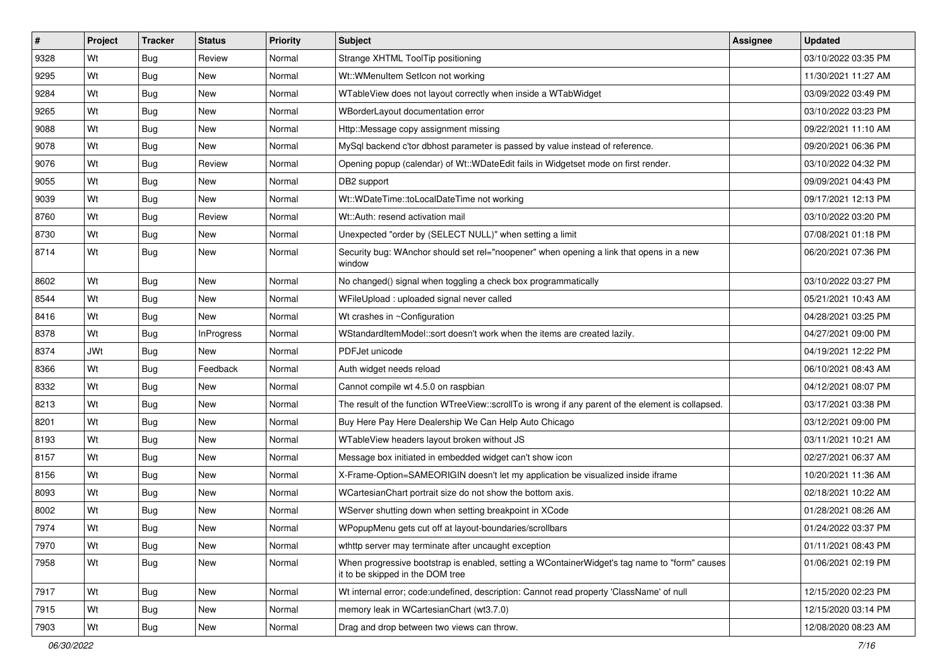| $\vert$ # | Project    | <b>Tracker</b> | <b>Status</b>     | <b>Priority</b> | Subject                                                                                                                           | <b>Assignee</b> | <b>Updated</b>      |
|-----------|------------|----------------|-------------------|-----------------|-----------------------------------------------------------------------------------------------------------------------------------|-----------------|---------------------|
| 9328      | Wt         | Bug            | Review            | Normal          | Strange XHTML ToolTip positioning                                                                                                 |                 | 03/10/2022 03:35 PM |
| 9295      | Wt         | Bug            | <b>New</b>        | Normal          | Wt::WMenuItem SetIcon not working                                                                                                 |                 | 11/30/2021 11:27 AM |
| 9284      | Wt         | Bug            | New               | Normal          | WTableView does not layout correctly when inside a WTabWidget                                                                     |                 | 03/09/2022 03:49 PM |
| 9265      | Wt         | Bug            | <b>New</b>        | Normal          | WBorderLayout documentation error                                                                                                 |                 | 03/10/2022 03:23 PM |
| 9088      | Wt         | Bug            | <b>New</b>        | Normal          | Http::Message copy assignment missing                                                                                             |                 | 09/22/2021 11:10 AM |
| 9078      | Wt         | <b>Bug</b>     | New               | Normal          | MySql backend c'tor dbhost parameter is passed by value instead of reference.                                                     |                 | 09/20/2021 06:36 PM |
| 9076      | Wt         | Bug            | Review            | Normal          | Opening popup (calendar) of Wt:: WDateEdit fails in Widgetset mode on first render.                                               |                 | 03/10/2022 04:32 PM |
| 9055      | Wt         | <b>Bug</b>     | New               | Normal          | DB2 support                                                                                                                       |                 | 09/09/2021 04:43 PM |
| 9039      | Wt         | <b>Bug</b>     | New               | Normal          | Wt::WDateTime::toLocalDateTime not working                                                                                        |                 | 09/17/2021 12:13 PM |
| 8760      | Wt         | Bug            | Review            | Normal          | Wt::Auth: resend activation mail                                                                                                  |                 | 03/10/2022 03:20 PM |
| 8730      | Wt         | <b>Bug</b>     | New               | Normal          | Unexpected "order by (SELECT NULL)" when setting a limit                                                                          |                 | 07/08/2021 01:18 PM |
| 8714      | Wt         | Bug            | New               | Normal          | Security bug: WAnchor should set rel="noopener" when opening a link that opens in a new<br>window                                 |                 | 06/20/2021 07:36 PM |
| 8602      | Wt         | Bug            | <b>New</b>        | Normal          | No changed() signal when toggling a check box programmatically                                                                    |                 | 03/10/2022 03:27 PM |
| 8544      | Wt         | Bug            | <b>New</b>        | Normal          | WFileUpload : uploaded signal never called                                                                                        |                 | 05/21/2021 10:43 AM |
| 8416      | Wt         | <b>Bug</b>     | New               | Normal          | Wt crashes in ~Configuration                                                                                                      |                 | 04/28/2021 03:25 PM |
| 8378      | Wt         | Bug            | <b>InProgress</b> | Normal          | WStandardItemModel::sort doesn't work when the items are created lazily.                                                          |                 | 04/27/2021 09:00 PM |
| 8374      | <b>JWt</b> | Bug            | New               | Normal          | PDFJet unicode                                                                                                                    |                 | 04/19/2021 12:22 PM |
| 8366      | Wt         | <b>Bug</b>     | Feedback          | Normal          | Auth widget needs reload                                                                                                          |                 | 06/10/2021 08:43 AM |
| 8332      | Wt         | Bug            | <b>New</b>        | Normal          | Cannot compile wt 4.5.0 on raspbian                                                                                               |                 | 04/12/2021 08:07 PM |
| 8213      | Wt         | Bug            | <b>New</b>        | Normal          | The result of the function WTreeView::scrollTo is wrong if any parent of the element is collapsed.                                |                 | 03/17/2021 03:38 PM |
| 8201      | Wt         | Bug            | <b>New</b>        | Normal          | Buy Here Pay Here Dealership We Can Help Auto Chicago                                                                             |                 | 03/12/2021 09:00 PM |
| 8193      | Wt         | Bug            | <b>New</b>        | Normal          | WTableView headers layout broken without JS                                                                                       |                 | 03/11/2021 10:21 AM |
| 8157      | Wt         | <b>Bug</b>     | New               | Normal          | Message box initiated in embedded widget can't show icon                                                                          |                 | 02/27/2021 06:37 AM |
| 8156      | Wt         | <b>Bug</b>     | <b>New</b>        | Normal          | X-Frame-Option=SAMEORIGIN doesn't let my application be visualized inside iframe                                                  |                 | 10/20/2021 11:36 AM |
| 8093      | Wt         | Bug            | <b>New</b>        | Normal          | WCartesianChart portrait size do not show the bottom axis.                                                                        |                 | 02/18/2021 10:22 AM |
| 8002      | Wt         | <b>Bug</b>     | New               | Normal          | WServer shutting down when setting breakpoint in XCode                                                                            |                 | 01/28/2021 08:26 AM |
| 7974      | Wt         | Bug            | New               | Normal          | WPopupMenu gets cut off at layout-boundaries/scrollbars                                                                           |                 | 01/24/2022 03:37 PM |
| 7970      | Wt         | <b>Bug</b>     | New               | Normal          | wthttp server may terminate after uncaught exception                                                                              |                 | 01/11/2021 08:43 PM |
| 7958      | Wt         | Bug            | New               | Normal          | When progressive bootstrap is enabled, setting a WContainerWidget's tag name to "form" causes<br>it to be skipped in the DOM tree |                 | 01/06/2021 02:19 PM |
| 7917      | Wt         | Bug            | New               | Normal          | Wt internal error; code:undefined, description: Cannot read property 'ClassName' of null                                          |                 | 12/15/2020 02:23 PM |
| 7915      | Wt         | <b>Bug</b>     | New               | Normal          | memory leak in WCartesianChart (wt3.7.0)                                                                                          |                 | 12/15/2020 03:14 PM |
| 7903      | Wt         | <b>Bug</b>     | New               | Normal          | Drag and drop between two views can throw.                                                                                        |                 | 12/08/2020 08:23 AM |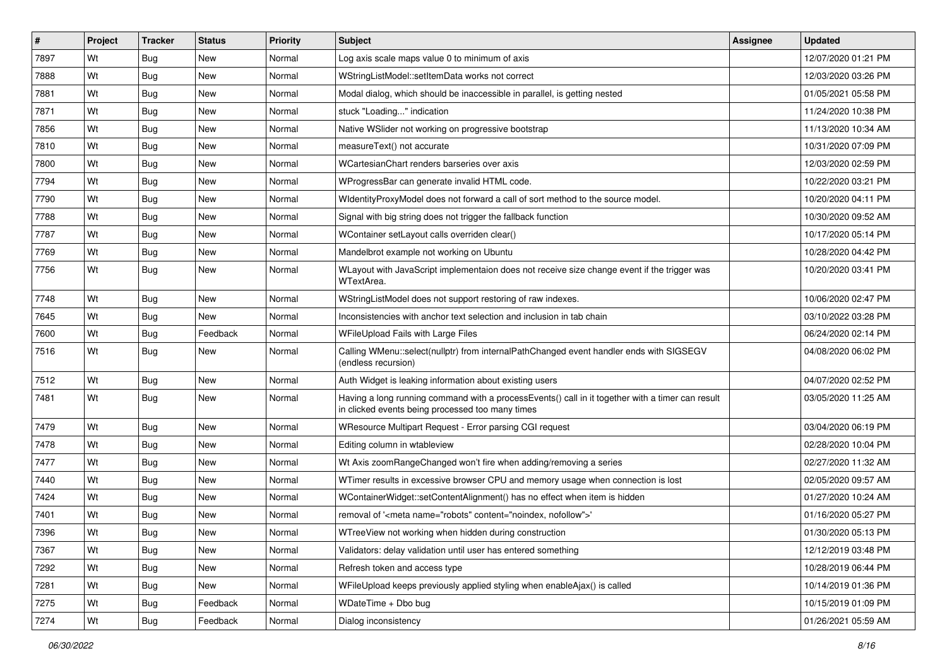| $\vert$ # | Project | <b>Tracker</b> | <b>Status</b> | <b>Priority</b> | Subject                                                                                                                                              | Assignee | <b>Updated</b>      |
|-----------|---------|----------------|---------------|-----------------|------------------------------------------------------------------------------------------------------------------------------------------------------|----------|---------------------|
| 7897      | Wt      | Bug            | New           | Normal          | Log axis scale maps value 0 to minimum of axis                                                                                                       |          | 12/07/2020 01:21 PM |
| 7888      | Wt      | Bug            | <b>New</b>    | Normal          | WStringListModel::setItemData works not correct                                                                                                      |          | 12/03/2020 03:26 PM |
| 7881      | Wt      | Bug            | <b>New</b>    | Normal          | Modal dialog, which should be inaccessible in parallel, is getting nested                                                                            |          | 01/05/2021 05:58 PM |
| 7871      | Wt      | Bug            | <b>New</b>    | Normal          | stuck "Loading" indication                                                                                                                           |          | 11/24/2020 10:38 PM |
| 7856      | Wt      | Bug            | <b>New</b>    | Normal          | Native WSIider not working on progressive bootstrap                                                                                                  |          | 11/13/2020 10:34 AM |
| 7810      | Wt      | Bug            | New           | Normal          | measureText() not accurate                                                                                                                           |          | 10/31/2020 07:09 PM |
| 7800      | Wt      | Bug            | <b>New</b>    | Normal          | WCartesianChart renders barseries over axis                                                                                                          |          | 12/03/2020 02:59 PM |
| 7794      | Wt      | Bug            | <b>New</b>    | Normal          | WProgressBar can generate invalid HTML code.                                                                                                         |          | 10/22/2020 03:21 PM |
| 7790      | Wt      | Bug            | <b>New</b>    | Normal          | WidentityProxyModel does not forward a call of sort method to the source model.                                                                      |          | 10/20/2020 04:11 PM |
| 7788      | Wt      | Bug            | <b>New</b>    | Normal          | Signal with big string does not trigger the fallback function                                                                                        |          | 10/30/2020 09:52 AM |
| 7787      | Wt      | Bug            | <b>New</b>    | Normal          | WContainer setLayout calls overriden clear()                                                                                                         |          | 10/17/2020 05:14 PM |
| 7769      | Wt      | Bug            | <b>New</b>    | Normal          | Mandelbrot example not working on Ubuntu                                                                                                             |          | 10/28/2020 04:42 PM |
| 7756      | Wt      | Bug            | New           | Normal          | WLayout with JavaScript implementaion does not receive size change event if the trigger was<br>WTextArea.                                            |          | 10/20/2020 03:41 PM |
| 7748      | Wt      | <b>Bug</b>     | <b>New</b>    | Normal          | WStringListModel does not support restoring of raw indexes.                                                                                          |          | 10/06/2020 02:47 PM |
| 7645      | Wt      | Bug            | New           | Normal          | Inconsistencies with anchor text selection and inclusion in tab chain                                                                                |          | 03/10/2022 03:28 PM |
| 7600      | Wt      | <b>Bug</b>     | Feedback      | Normal          | WFileUpload Fails with Large Files                                                                                                                   |          | 06/24/2020 02:14 PM |
| 7516      | Wt      | Bug            | <b>New</b>    | Normal          | Calling WMenu::select(nullptr) from internalPathChanged event handler ends with SIGSEGV<br>(endless recursion)                                       |          | 04/08/2020 06:02 PM |
| 7512      | Wt      | Bug            | <b>New</b>    | Normal          | Auth Widget is leaking information about existing users                                                                                              |          | 04/07/2020 02:52 PM |
| 7481      | Wt      | <b>Bug</b>     | <b>New</b>    | Normal          | Having a long running command with a processEvents() call in it together with a timer can result<br>in clicked events being processed too many times |          | 03/05/2020 11:25 AM |
| 7479      | Wt      | <b>Bug</b>     | <b>New</b>    | Normal          | WResource Multipart Request - Error parsing CGI request                                                                                              |          | 03/04/2020 06:19 PM |
| 7478      | Wt      | Bug            | New           | Normal          | Editing column in wtableview                                                                                                                         |          | 02/28/2020 10:04 PM |
| 7477      | Wt      | Bug            | <b>New</b>    | Normal          | Wt Axis zoomRangeChanged won't fire when adding/removing a series                                                                                    |          | 02/27/2020 11:32 AM |
| 7440      | Wt      | Bug            | <b>New</b>    | Normal          | WTimer results in excessive browser CPU and memory usage when connection is lost                                                                     |          | 02/05/2020 09:57 AM |
| 7424      | Wt      | Bug            | New           | Normal          | WContainerWidget::setContentAlignment() has no effect when item is hidden                                                                            |          | 01/27/2020 10:24 AM |
| 7401      | Wt      | <b>Bug</b>     | New           | Normal          | removal of ' <meta content="noindex, nofollow" name="robots"/> '                                                                                     |          | 01/16/2020 05:27 PM |
| 7396      | Wt      | Bug            | New           | Normal          | WTreeView not working when hidden during construction                                                                                                |          | 01/30/2020 05:13 PM |
| 7367      | Wt      | <b>Bug</b>     | New           | Normal          | Validators: delay validation until user has entered something                                                                                        |          | 12/12/2019 03:48 PM |
| 7292      | Wt      | Bug            | New           | Normal          | Refresh token and access type                                                                                                                        |          | 10/28/2019 06:44 PM |
| 7281      | Wt      | <b>Bug</b>     | New           | Normal          | WFileUpload keeps previously applied styling when enableAjax() is called                                                                             |          | 10/14/2019 01:36 PM |
| 7275      | Wt      | <b>Bug</b>     | Feedback      | Normal          | WDateTime + Dbo bug                                                                                                                                  |          | 10/15/2019 01:09 PM |
| 7274      | Wt      | <b>Bug</b>     | Feedback      | Normal          | Dialog inconsistency                                                                                                                                 |          | 01/26/2021 05:59 AM |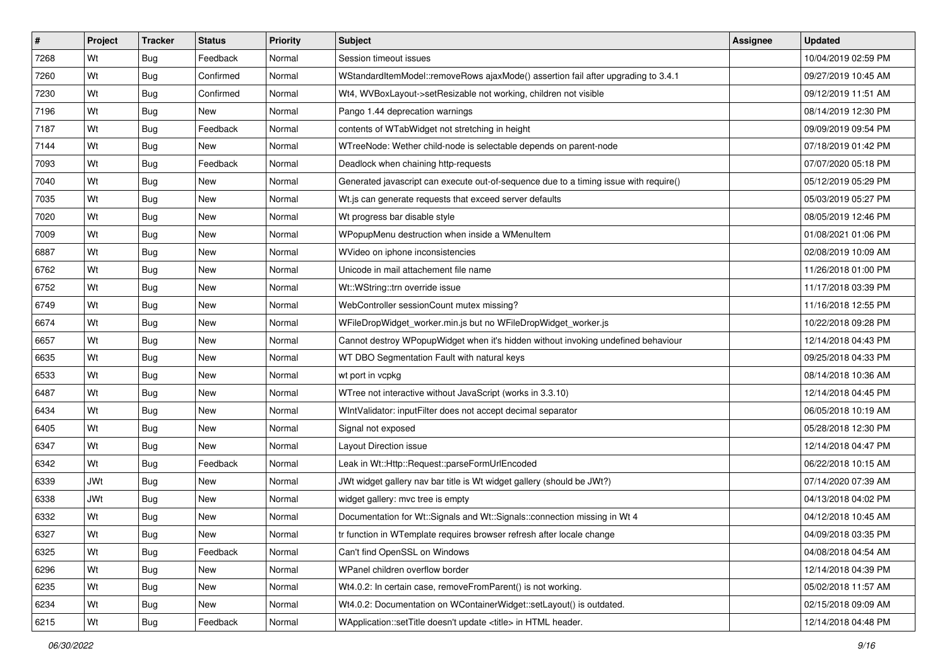| #    | Project    | <b>Tracker</b> | <b>Status</b> | <b>Priority</b> | Subject                                                                               | <b>Assignee</b> | <b>Updated</b>      |
|------|------------|----------------|---------------|-----------------|---------------------------------------------------------------------------------------|-----------------|---------------------|
| 7268 | Wt         | Bug            | Feedback      | Normal          | Session timeout issues                                                                |                 | 10/04/2019 02:59 PM |
| 7260 | Wt         | <b>Bug</b>     | Confirmed     | Normal          | WStandardItemModel::removeRows ajaxMode() assertion fail after upgrading to 3.4.1     |                 | 09/27/2019 10:45 AM |
| 7230 | Wt         | <b>Bug</b>     | Confirmed     | Normal          | Wt4, WVBoxLayout->setResizable not working, children not visible                      |                 | 09/12/2019 11:51 AM |
| 7196 | Wt         | <b>Bug</b>     | New           | Normal          | Pango 1.44 deprecation warnings                                                       |                 | 08/14/2019 12:30 PM |
| 7187 | Wt         | Bug            | Feedback      | Normal          | contents of WTabWidget not stretching in height                                       |                 | 09/09/2019 09:54 PM |
| 7144 | Wt         | <b>Bug</b>     | <b>New</b>    | Normal          | WTreeNode: Wether child-node is selectable depends on parent-node                     |                 | 07/18/2019 01:42 PM |
| 7093 | Wt         | Bug            | Feedback      | Normal          | Deadlock when chaining http-requests                                                  |                 | 07/07/2020 05:18 PM |
| 7040 | Wt         | Bug            | New           | Normal          | Generated javascript can execute out-of-sequence due to a timing issue with require() |                 | 05/12/2019 05:29 PM |
| 7035 | Wt         | <b>Bug</b>     | <b>New</b>    | Normal          | Wt.js can generate requests that exceed server defaults                               |                 | 05/03/2019 05:27 PM |
| 7020 | Wt         | <b>Bug</b>     | New           | Normal          | Wt progress bar disable style                                                         |                 | 08/05/2019 12:46 PM |
| 7009 | Wt         | <b>Bug</b>     | New           | Normal          | WPopupMenu destruction when inside a WMenuItem                                        |                 | 01/08/2021 01:06 PM |
| 6887 | Wt         | Bug            | New           | Normal          | WVideo on iphone inconsistencies                                                      |                 | 02/08/2019 10:09 AM |
| 6762 | Wt         | Bug            | New           | Normal          | Unicode in mail attachement file name                                                 |                 | 11/26/2018 01:00 PM |
| 6752 | Wt         | <b>Bug</b>     | New           | Normal          | Wt::WString::trn override issue                                                       |                 | 11/17/2018 03:39 PM |
| 6749 | Wt         | <b>Bug</b>     | <b>New</b>    | Normal          | WebController sessionCount mutex missing?                                             |                 | 11/16/2018 12:55 PM |
| 6674 | Wt         | Bug            | New           | Normal          | WFileDropWidget_worker.min.js but no WFileDropWidget_worker.js                        |                 | 10/22/2018 09:28 PM |
| 6657 | Wt         | Bug            | New           | Normal          | Cannot destroy WPopupWidget when it's hidden without invoking undefined behaviour     |                 | 12/14/2018 04:43 PM |
| 6635 | Wt         | Bug            | New           | Normal          | WT DBO Segmentation Fault with natural keys                                           |                 | 09/25/2018 04:33 PM |
| 6533 | Wt         | <b>Bug</b>     | New           | Normal          | wt port in vcpkg                                                                      |                 | 08/14/2018 10:36 AM |
| 6487 | Wt         | Bug            | New           | Normal          | WTree not interactive without JavaScript (works in 3.3.10)                            |                 | 12/14/2018 04:45 PM |
| 6434 | Wt         | Bug            | New           | Normal          | WIntValidator: inputFilter does not accept decimal separator                          |                 | 06/05/2018 10:19 AM |
| 6405 | Wt         | Bug            | New           | Normal          | Signal not exposed                                                                    |                 | 05/28/2018 12:30 PM |
| 6347 | Wt         | Bug            | New           | Normal          | Layout Direction issue                                                                |                 | 12/14/2018 04:47 PM |
| 6342 | Wt         | <b>Bug</b>     | Feedback      | Normal          | Leak in Wt::Http::Request::parseFormUrlEncoded                                        |                 | 06/22/2018 10:15 AM |
| 6339 | <b>JWt</b> | Bug            | New           | Normal          | JWt widget gallery nav bar title is Wt widget gallery (should be JWt?)                |                 | 07/14/2020 07:39 AM |
| 6338 | <b>JWt</b> | Bug            | New           | Normal          | widget gallery: mvc tree is empty                                                     |                 | 04/13/2018 04:02 PM |
| 6332 | Wt         | Bug            | New           | Normal          | Documentation for Wt::Signals and Wt::Signals::connection missing in Wt 4             |                 | 04/12/2018 10:45 AM |
| 6327 | Wt         | Bug            | New           | Normal          | tr function in WTemplate requires browser refresh after locale change                 |                 | 04/09/2018 03:35 PM |
| 6325 | Wt         | <b>Bug</b>     | Feedback      | Normal          | Can't find OpenSSL on Windows                                                         |                 | 04/08/2018 04:54 AM |
| 6296 | Wt         | <b>Bug</b>     | New           | Normal          | WPanel children overflow border                                                       |                 | 12/14/2018 04:39 PM |
| 6235 | Wt         | Bug            | New           | Normal          | Wt4.0.2: In certain case, removeFromParent() is not working.                          |                 | 05/02/2018 11:57 AM |
| 6234 | Wt         | <b>Bug</b>     | New           | Normal          | Wt4.0.2: Documentation on WContainerWidget::setLayout() is outdated.                  |                 | 02/15/2018 09:09 AM |
| 6215 | Wt         | <b>Bug</b>     | Feedback      | Normal          | WApplication::setTitle doesn't update <title> in HTML header.</title>                 |                 | 12/14/2018 04:48 PM |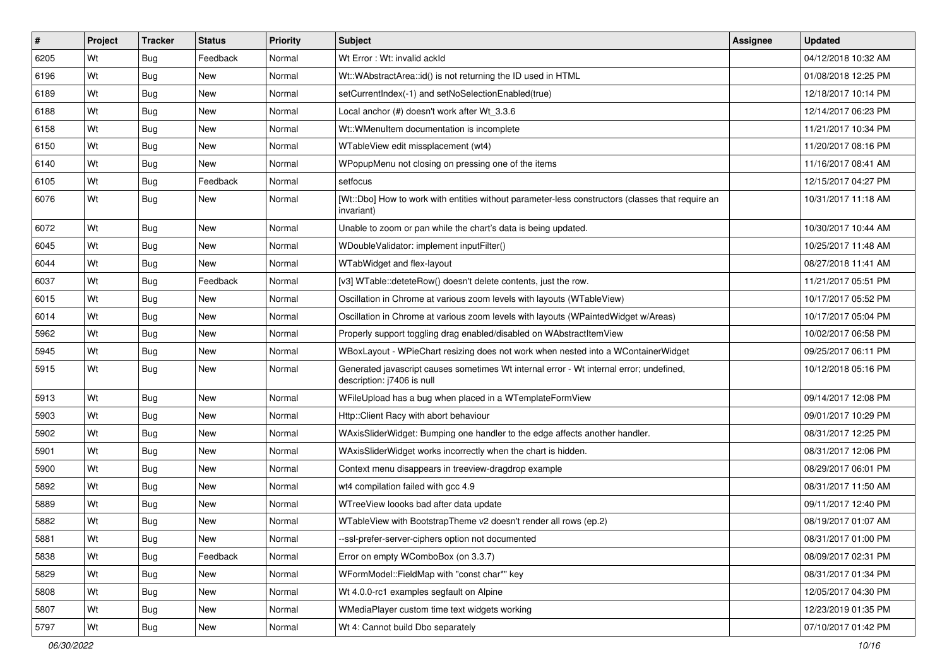| #    | Project | <b>Tracker</b> | <b>Status</b> | <b>Priority</b> | Subject                                                                                                               | <b>Assignee</b> | <b>Updated</b>      |
|------|---------|----------------|---------------|-----------------|-----------------------------------------------------------------------------------------------------------------------|-----------------|---------------------|
| 6205 | Wt      | Bug            | Feedback      | Normal          | Wt Error: Wt: invalid ackId                                                                                           |                 | 04/12/2018 10:32 AM |
| 6196 | Wt      | Bug            | <b>New</b>    | Normal          | Wt::WAbstractArea::id() is not returning the ID used in HTML                                                          |                 | 01/08/2018 12:25 PM |
| 6189 | Wt      | Bug            | New           | Normal          | setCurrentIndex(-1) and setNoSelectionEnabled(true)                                                                   |                 | 12/18/2017 10:14 PM |
| 6188 | Wt      | Bug            | New           | Normal          | Local anchor (#) doesn't work after Wt_3.3.6                                                                          |                 | 12/14/2017 06:23 PM |
| 6158 | Wt      | Bug            | New           | Normal          | Wt::WMenuItem documentation is incomplete                                                                             |                 | 11/21/2017 10:34 PM |
| 6150 | Wt      | Bug            | New           | Normal          | WTableView edit missplacement (wt4)                                                                                   |                 | 11/20/2017 08:16 PM |
| 6140 | Wt      | Bug            | New           | Normal          | WPopupMenu not closing on pressing one of the items                                                                   |                 | 11/16/2017 08:41 AM |
| 6105 | Wt      | Bug            | Feedback      | Normal          | setfocus                                                                                                              |                 | 12/15/2017 04:27 PM |
| 6076 | Wt      | Bug            | New           | Normal          | [Wt::Dbo] How to work with entities without parameter-less constructors (classes that require an<br>invariant)        |                 | 10/31/2017 11:18 AM |
| 6072 | Wt      | Bug            | New           | Normal          | Unable to zoom or pan while the chart's data is being updated.                                                        |                 | 10/30/2017 10:44 AM |
| 6045 | Wt      | Bug            | New           | Normal          | WDoubleValidator: implement inputFilter()                                                                             |                 | 10/25/2017 11:48 AM |
| 6044 | Wt      | Bug            | New           | Normal          | WTabWidget and flex-layout                                                                                            |                 | 08/27/2018 11:41 AM |
| 6037 | Wt      | <b>Bug</b>     | Feedback      | Normal          | [v3] WTable::deteteRow() doesn't delete contents, just the row.                                                       |                 | 11/21/2017 05:51 PM |
| 6015 | Wt      | Bug            | New           | Normal          | Oscillation in Chrome at various zoom levels with layouts (WTableView)                                                |                 | 10/17/2017 05:52 PM |
| 6014 | Wt      | Bug            | <b>New</b>    | Normal          | Oscillation in Chrome at various zoom levels with layouts (WPaintedWidget w/Areas)                                    |                 | 10/17/2017 05:04 PM |
| 5962 | Wt      | Bug            | New           | Normal          | Properly support toggling drag enabled/disabled on WAbstractItemView                                                  |                 | 10/02/2017 06:58 PM |
| 5945 | Wt      | Bug            | New           | Normal          | WBoxLayout - WPieChart resizing does not work when nested into a WContainerWidget                                     |                 | 09/25/2017 06:11 PM |
| 5915 | Wt      | Bug            | New           | Normal          | Generated javascript causes sometimes Wt internal error - Wt internal error; undefined,<br>description: j7406 is null |                 | 10/12/2018 05:16 PM |
| 5913 | Wt      | Bug            | New           | Normal          | WFileUpload has a bug when placed in a WTemplateFormView                                                              |                 | 09/14/2017 12:08 PM |
| 5903 | Wt      | <b>Bug</b>     | New           | Normal          | Http::Client Racy with abort behaviour                                                                                |                 | 09/01/2017 10:29 PM |
| 5902 | Wt      | Bug            | <b>New</b>    | Normal          | WAxisSliderWidget: Bumping one handler to the edge affects another handler.                                           |                 | 08/31/2017 12:25 PM |
| 5901 | Wt      | <b>Bug</b>     | New           | Normal          | WAxisSliderWidget works incorrectly when the chart is hidden.                                                         |                 | 08/31/2017 12:06 PM |
| 5900 | Wt      | Bug            | New           | Normal          | Context menu disappears in treeview-dragdrop example                                                                  |                 | 08/29/2017 06:01 PM |
| 5892 | Wt      | Bug            | New           | Normal          | wt4 compilation failed with gcc 4.9                                                                                   |                 | 08/31/2017 11:50 AM |
| 5889 | Wt      | <b>Bug</b>     | New           | Normal          | WTreeView loooks bad after data update                                                                                |                 | 09/11/2017 12:40 PM |
| 5882 | Wt      | <b>Bug</b>     | New           | Normal          | WTableView with BootstrapTheme v2 doesn't render all rows (ep.2)                                                      |                 | 08/19/2017 01:07 AM |
| 5881 | Wt      | Bug            | New           | Normal          | --ssl-prefer-server-ciphers option not documented                                                                     |                 | 08/31/2017 01:00 PM |
| 5838 | Wt      | <b>Bug</b>     | Feedback      | Normal          | Error on empty WComboBox (on 3.3.7)                                                                                   |                 | 08/09/2017 02:31 PM |
| 5829 | Wt      | Bug            | New           | Normal          | WFormModel::FieldMap with "const char*" key                                                                           |                 | 08/31/2017 01:34 PM |
| 5808 | Wt      | Bug            | New           | Normal          | Wt 4.0.0-rc1 examples segfault on Alpine                                                                              |                 | 12/05/2017 04:30 PM |
| 5807 | Wt      | <b>Bug</b>     | New           | Normal          | WMediaPlayer custom time text widgets working                                                                         |                 | 12/23/2019 01:35 PM |
| 5797 | Wt      | <b>Bug</b>     | New           | Normal          | Wt 4: Cannot build Dbo separately                                                                                     |                 | 07/10/2017 01:42 PM |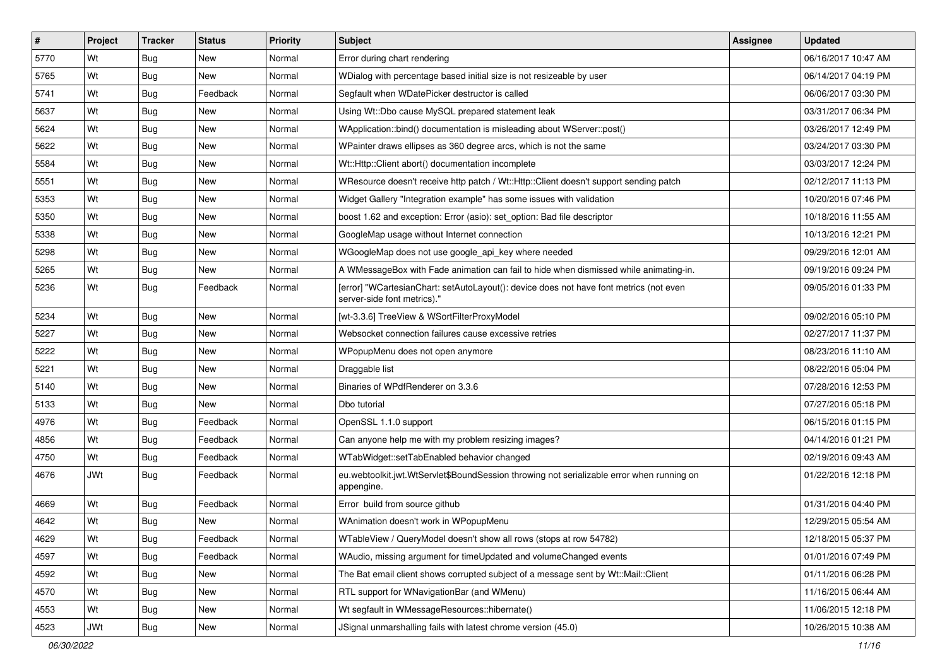| #    | Project    | <b>Tracker</b> | <b>Status</b> | <b>Priority</b> | Subject                                                                                                               | Assignee | <b>Updated</b>      |
|------|------------|----------------|---------------|-----------------|-----------------------------------------------------------------------------------------------------------------------|----------|---------------------|
| 5770 | Wt         | Bug            | New           | Normal          | Error during chart rendering                                                                                          |          | 06/16/2017 10:47 AM |
| 5765 | Wt         | Bug            | New           | Normal          | WDialog with percentage based initial size is not resizeable by user                                                  |          | 06/14/2017 04:19 PM |
| 5741 | Wt         | Bug            | Feedback      | Normal          | Segfault when WDatePicker destructor is called                                                                        |          | 06/06/2017 03:30 PM |
| 5637 | Wt         | Bug            | New           | Normal          | Using Wt::Dbo cause MySQL prepared statement leak                                                                     |          | 03/31/2017 06:34 PM |
| 5624 | Wt         | Bug            | New           | Normal          | WApplication::bind() documentation is misleading about WServer::post()                                                |          | 03/26/2017 12:49 PM |
| 5622 | Wt         | Bug            | New           | Normal          | WPainter draws ellipses as 360 degree arcs, which is not the same                                                     |          | 03/24/2017 03:30 PM |
| 5584 | Wt         | <b>Bug</b>     | New           | Normal          | Wt::Http::Client abort() documentation incomplete                                                                     |          | 03/03/2017 12:24 PM |
| 5551 | Wt         | Bug            | <b>New</b>    | Normal          | WResource doesn't receive http patch / Wt::Http::Client doesn't support sending patch                                 |          | 02/12/2017 11:13 PM |
| 5353 | Wt         | Bug            | New           | Normal          | Widget Gallery "Integration example" has some issues with validation                                                  |          | 10/20/2016 07:46 PM |
| 5350 | Wt         | Bug            | <b>New</b>    | Normal          | boost 1.62 and exception: Error (asio): set_option: Bad file descriptor                                               |          | 10/18/2016 11:55 AM |
| 5338 | Wt         | Bug            | New           | Normal          | GoogleMap usage without Internet connection                                                                           |          | 10/13/2016 12:21 PM |
| 5298 | Wt         | <b>Bug</b>     | <b>New</b>    | Normal          | WGoogleMap does not use google_api_key where needed                                                                   |          | 09/29/2016 12:01 AM |
| 5265 | Wt         | <b>Bug</b>     | New           | Normal          | A WMessageBox with Fade animation can fail to hide when dismissed while animating-in.                                 |          | 09/19/2016 09:24 PM |
| 5236 | Wt         | Bug            | Feedback      | Normal          | [error] "WCartesianChart: setAutoLayout(): device does not have font metrics (not even<br>server-side font metrics)." |          | 09/05/2016 01:33 PM |
| 5234 | Wt         | Bug            | <b>New</b>    | Normal          | [wt-3.3.6] TreeView & WSortFilterProxyModel                                                                           |          | 09/02/2016 05:10 PM |
| 5227 | Wt         | Bug            | <b>New</b>    | Normal          | Websocket connection failures cause excessive retries                                                                 |          | 02/27/2017 11:37 PM |
| 5222 | Wt         | Bug            | <b>New</b>    | Normal          | WPopupMenu does not open anymore                                                                                      |          | 08/23/2016 11:10 AM |
| 5221 | Wt         | Bug            | New           | Normal          | Draggable list                                                                                                        |          | 08/22/2016 05:04 PM |
| 5140 | Wt         | <b>Bug</b>     | <b>New</b>    | Normal          | Binaries of WPdfRenderer on 3.3.6                                                                                     |          | 07/28/2016 12:53 PM |
| 5133 | Wt         | Bug            | New           | Normal          | Dbo tutorial                                                                                                          |          | 07/27/2016 05:18 PM |
| 4976 | Wt         | Bug            | Feedback      | Normal          | OpenSSL 1.1.0 support                                                                                                 |          | 06/15/2016 01:15 PM |
| 4856 | Wt         | <b>Bug</b>     | Feedback      | Normal          | Can anyone help me with my problem resizing images?                                                                   |          | 04/14/2016 01:21 PM |
| 4750 | Wt         | Bug            | Feedback      | Normal          | WTabWidget::setTabEnabled behavior changed                                                                            |          | 02/19/2016 09:43 AM |
| 4676 | <b>JWt</b> | <b>Bug</b>     | Feedback      | Normal          | eu.webtoolkit.jwt.WtServlet\$BoundSession throwing not serializable error when running on<br>appengine.               |          | 01/22/2016 12:18 PM |
| 4669 | Wt         | Bug            | Feedback      | Normal          | Error build from source github                                                                                        |          | 01/31/2016 04:40 PM |
| 4642 | Wt         | <b>Bug</b>     | New           | Normal          | WAnimation doesn't work in WPopupMenu                                                                                 |          | 12/29/2015 05:54 AM |
| 4629 | Wt         | <b>Bug</b>     | Feedback      | Normal          | WTableView / QueryModel doesn't show all rows (stops at row 54782)                                                    |          | 12/18/2015 05:37 PM |
| 4597 | Wt         | Bug            | Feedback      | Normal          | WAudio, missing argument for timeUpdated and volumeChanged events                                                     |          | 01/01/2016 07:49 PM |
| 4592 | Wt         | Bug            | New           | Normal          | The Bat email client shows corrupted subject of a message sent by Wt::Mail::Client                                    |          | 01/11/2016 06:28 PM |
| 4570 | Wt         | <b>Bug</b>     | New           | Normal          | RTL support for WNavigationBar (and WMenu)                                                                            |          | 11/16/2015 06:44 AM |
| 4553 | Wt         | <b>Bug</b>     | New           | Normal          | Wt segfault in WMessageResources::hibernate()                                                                         |          | 11/06/2015 12:18 PM |
| 4523 | <b>JWt</b> | <b>Bug</b>     | New           | Normal          | JSignal unmarshalling fails with latest chrome version (45.0)                                                         |          | 10/26/2015 10:38 AM |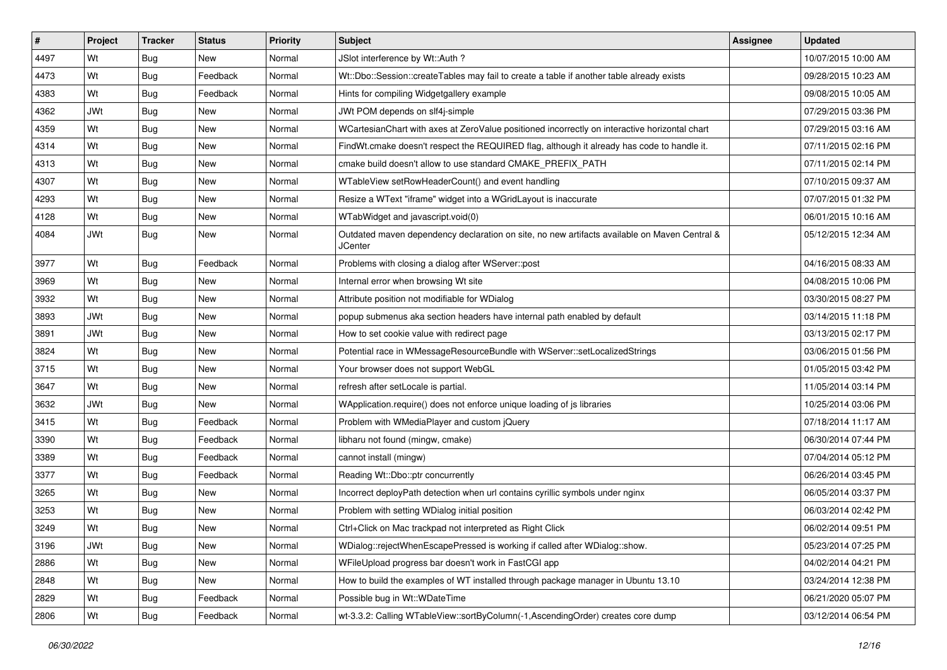| #    | Project    | <b>Tracker</b> | <b>Status</b> | <b>Priority</b> | <b>Subject</b>                                                                                                 | <b>Assignee</b> | <b>Updated</b>      |
|------|------------|----------------|---------------|-----------------|----------------------------------------------------------------------------------------------------------------|-----------------|---------------------|
| 4497 | Wt         | Bug            | New           | Normal          | JSlot interference by Wt::Auth ?                                                                               |                 | 10/07/2015 10:00 AM |
| 4473 | Wt         | Bug            | Feedback      | Normal          | Wt::Dbo::Session::createTables may fail to create a table if another table already exists                      |                 | 09/28/2015 10:23 AM |
| 4383 | Wt         | Bug            | Feedback      | Normal          | Hints for compiling Widgetgallery example                                                                      |                 | 09/08/2015 10:05 AM |
| 4362 | <b>JWt</b> | Bug            | New           | Normal          | JWt POM depends on slf4j-simple                                                                                |                 | 07/29/2015 03:36 PM |
| 4359 | Wt         | Bug            | New           | Normal          | WCartesianChart with axes at ZeroValue positioned incorrectly on interactive horizontal chart                  |                 | 07/29/2015 03:16 AM |
| 4314 | Wt         | Bug            | New           | Normal          | FindWt.cmake doesn't respect the REQUIRED flag, although it already has code to handle it.                     |                 | 07/11/2015 02:16 PM |
| 4313 | Wt         | Bug            | New           | Normal          | cmake build doesn't allow to use standard CMAKE PREFIX PATH                                                    |                 | 07/11/2015 02:14 PM |
| 4307 | Wt         | Bug            | New           | Normal          | WTableView setRowHeaderCount() and event handling                                                              |                 | 07/10/2015 09:37 AM |
| 4293 | Wt         | Bug            | New           | Normal          | Resize a WText "iframe" widget into a WGridLayout is inaccurate                                                |                 | 07/07/2015 01:32 PM |
| 4128 | Wt         | Bug            | New           | Normal          | WTabWidget and javascript.void(0)                                                                              |                 | 06/01/2015 10:16 AM |
| 4084 | <b>JWt</b> | Bug            | New           | Normal          | Outdated maven dependency declaration on site, no new artifacts available on Maven Central &<br><b>JCenter</b> |                 | 05/12/2015 12:34 AM |
| 3977 | Wt         | Bug            | Feedback      | Normal          | Problems with closing a dialog after WServer::post                                                             |                 | 04/16/2015 08:33 AM |
| 3969 | Wt         | Bug            | New           | Normal          | Internal error when browsing Wt site                                                                           |                 | 04/08/2015 10:06 PM |
| 3932 | Wt         | Bug            | New           | Normal          | Attribute position not modifiable for WDialog                                                                  |                 | 03/30/2015 08:27 PM |
| 3893 | JWt        | Bug            | New           | Normal          | popup submenus aka section headers have internal path enabled by default                                       |                 | 03/14/2015 11:18 PM |
| 3891 | <b>JWt</b> | Bug            | New           | Normal          | How to set cookie value with redirect page                                                                     |                 | 03/13/2015 02:17 PM |
| 3824 | Wt         | Bug            | New           | Normal          | Potential race in WMessageResourceBundle with WServer::setLocalizedStrings                                     |                 | 03/06/2015 01:56 PM |
| 3715 | Wt         | Bug            | New           | Normal          | Your browser does not support WebGL                                                                            |                 | 01/05/2015 03:42 PM |
| 3647 | Wt         | Bug            | New           | Normal          | refresh after setLocale is partial.                                                                            |                 | 11/05/2014 03:14 PM |
| 3632 | <b>JWt</b> | Bug            | New           | Normal          | WApplication.require() does not enforce unique loading of js libraries                                         |                 | 10/25/2014 03:06 PM |
| 3415 | Wt         | Bug            | Feedback      | Normal          | Problem with WMediaPlayer and custom jQuery                                                                    |                 | 07/18/2014 11:17 AM |
| 3390 | Wt         | Bug            | Feedback      | Normal          | libharu not found (mingw, cmake)                                                                               |                 | 06/30/2014 07:44 PM |
| 3389 | Wt         | Bug            | Feedback      | Normal          | cannot install (mingw)                                                                                         |                 | 07/04/2014 05:12 PM |
| 3377 | Wt         | <b>Bug</b>     | Feedback      | Normal          | Reading Wt::Dbo::ptr concurrently                                                                              |                 | 06/26/2014 03:45 PM |
| 3265 | Wt         | Bug            | <b>New</b>    | Normal          | Incorrect deployPath detection when url contains cyrillic symbols under nginx                                  |                 | 06/05/2014 03:37 PM |
| 3253 | Wt         | Bug            | New           | Normal          | Problem with setting WDialog initial position                                                                  |                 | 06/03/2014 02:42 PM |
| 3249 | Wt         | Bug            | New           | Normal          | Ctrl+Click on Mac trackpad not interpreted as Right Click                                                      |                 | 06/02/2014 09:51 PM |
| 3196 | JWt        | <b>Bug</b>     | New           | Normal          | WDialog::rejectWhenEscapePressed is working if called after WDialog::show.                                     |                 | 05/23/2014 07:25 PM |
| 2886 | Wt         | <b>Bug</b>     | New           | Normal          | WFileUpload progress bar doesn't work in FastCGI app                                                           |                 | 04/02/2014 04:21 PM |
| 2848 | Wt         | <b>Bug</b>     | New           | Normal          | How to build the examples of WT installed through package manager in Ubuntu 13.10                              |                 | 03/24/2014 12:38 PM |
| 2829 | Wt         | <b>Bug</b>     | Feedback      | Normal          | Possible bug in Wt::WDateTime                                                                                  |                 | 06/21/2020 05:07 PM |
| 2806 | Wt         | <b>Bug</b>     | Feedback      | Normal          | wt-3.3.2: Calling WTableView::sortByColumn(-1,AscendingOrder) creates core dump                                |                 | 03/12/2014 06:54 PM |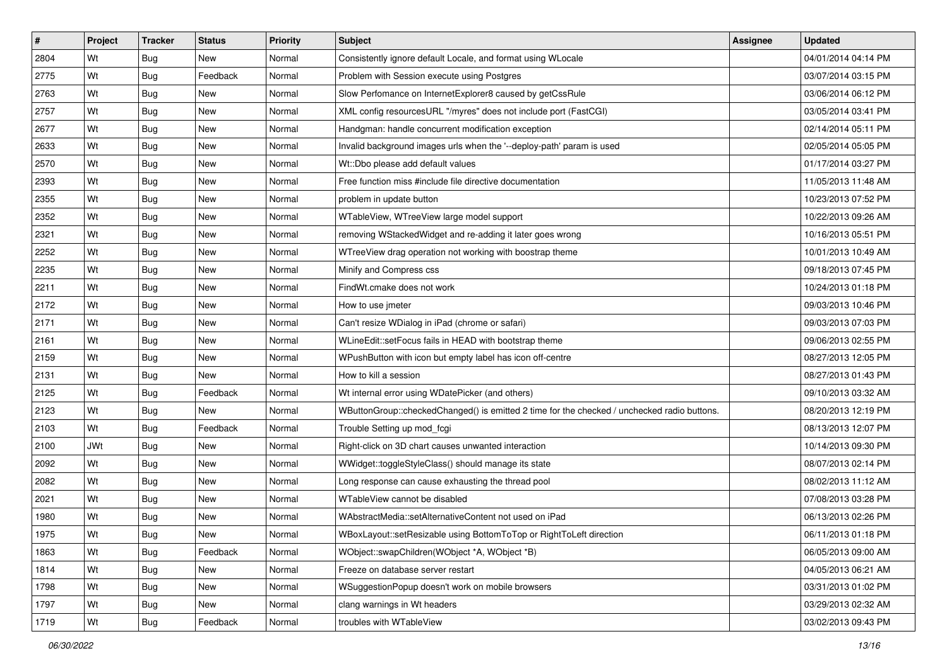| $\vert$ # | Project    | <b>Tracker</b> | <b>Status</b> | <b>Priority</b> | Subject                                                                                     | Assignee | <b>Updated</b>      |
|-----------|------------|----------------|---------------|-----------------|---------------------------------------------------------------------------------------------|----------|---------------------|
| 2804      | Wt         | Bug            | New           | Normal          | Consistently ignore default Locale, and format using WLocale                                |          | 04/01/2014 04:14 PM |
| 2775      | Wt         | Bug            | Feedback      | Normal          | Problem with Session execute using Postgres                                                 |          | 03/07/2014 03:15 PM |
| 2763      | Wt         | Bug            | <b>New</b>    | Normal          | Slow Perfomance on InternetExplorer8 caused by getCssRule                                   |          | 03/06/2014 06:12 PM |
| 2757      | Wt         | <b>Bug</b>     | <b>New</b>    | Normal          | XML config resourcesURL "/myres" does not include port (FastCGI)                            |          | 03/05/2014 03:41 PM |
| 2677      | Wt         | Bug            | <b>New</b>    | Normal          | Handgman: handle concurrent modification exception                                          |          | 02/14/2014 05:11 PM |
| 2633      | Wt         | Bug            | <b>New</b>    | Normal          | Invalid background images urls when the '--deploy-path' param is used                       |          | 02/05/2014 05:05 PM |
| 2570      | Wt         | <b>Bug</b>     | New           | Normal          | Wt::Dbo please add default values                                                           |          | 01/17/2014 03:27 PM |
| 2393      | Wt         | Bug            | <b>New</b>    | Normal          | Free function miss #include file directive documentation                                    |          | 11/05/2013 11:48 AM |
| 2355      | Wt         | <b>Bug</b>     | <b>New</b>    | Normal          | problem in update button                                                                    |          | 10/23/2013 07:52 PM |
| 2352      | Wt         | Bug            | <b>New</b>    | Normal          | WTableView, WTreeView large model support                                                   |          | 10/22/2013 09:26 AM |
| 2321      | Wt         | Bug            | <b>New</b>    | Normal          | removing WStackedWidget and re-adding it later goes wrong                                   |          | 10/16/2013 05:51 PM |
| 2252      | Wt         | <b>Bug</b>     | New           | Normal          | WTreeView drag operation not working with boostrap theme                                    |          | 10/01/2013 10:49 AM |
| 2235      | Wt         | Bug            | <b>New</b>    | Normal          | Minify and Compress css                                                                     |          | 09/18/2013 07:45 PM |
| 2211      | Wt         | Bug            | <b>New</b>    | Normal          | FindWt.cmake does not work                                                                  |          | 10/24/2013 01:18 PM |
| 2172      | Wt         | <b>Bug</b>     | <b>New</b>    | Normal          | How to use imeter                                                                           |          | 09/03/2013 10:46 PM |
| 2171      | Wt         | Bug            | New           | Normal          | Can't resize WDialog in iPad (chrome or safari)                                             |          | 09/03/2013 07:03 PM |
| 2161      | Wt         | Bug            | <b>New</b>    | Normal          | WLineEdit::setFocus fails in HEAD with bootstrap theme                                      |          | 09/06/2013 02:55 PM |
| 2159      | Wt         | Bug            | <b>New</b>    | Normal          | WPushButton with icon but empty label has icon off-centre                                   |          | 08/27/2013 12:05 PM |
| 2131      | Wt         | Bug            | New           | Normal          | How to kill a session                                                                       |          | 08/27/2013 01:43 PM |
| 2125      | Wt         | Bug            | Feedback      | Normal          | Wt internal error using WDatePicker (and others)                                            |          | 09/10/2013 03:32 AM |
| 2123      | Wt         | Bug            | New           | Normal          | WButtonGroup::checkedChanged() is emitted 2 time for the checked / unchecked radio buttons. |          | 08/20/2013 12:19 PM |
| 2103      | Wt         | Bug            | Feedback      | Normal          | Trouble Setting up mod_fcgi                                                                 |          | 08/13/2013 12:07 PM |
| 2100      | <b>JWt</b> | Bug            | <b>New</b>    | Normal          | Right-click on 3D chart causes unwanted interaction                                         |          | 10/14/2013 09:30 PM |
| 2092      | Wt         | Bug            | New           | Normal          | WWidget::toggleStyleClass() should manage its state                                         |          | 08/07/2013 02:14 PM |
| 2082      | Wt         | Bug            | New           | Normal          | Long response can cause exhausting the thread pool                                          |          | 08/02/2013 11:12 AM |
| 2021      | Wt         | Bug            | New           | Normal          | WTableView cannot be disabled                                                               |          | 07/08/2013 03:28 PM |
| 1980      | Wt         | Bug            | <b>New</b>    | Normal          | WAbstractMedia::setAlternativeContent not used on iPad                                      |          | 06/13/2013 02:26 PM |
| 1975      | Wt         | <b>Bug</b>     | New           | Normal          | WBoxLayout::setResizable using BottomToTop or RightToLeft direction                         |          | 06/11/2013 01:18 PM |
| 1863      | Wt         | Bug            | Feedback      | Normal          | WObject::swapChildren(WObject *A, WObject *B)                                               |          | 06/05/2013 09:00 AM |
| 1814      | Wt         | <b>Bug</b>     | New           | Normal          | Freeze on database server restart                                                           |          | 04/05/2013 06:21 AM |
| 1798      | Wt         | Bug            | New           | Normal          | WSuggestionPopup doesn't work on mobile browsers                                            |          | 03/31/2013 01:02 PM |
| 1797      | Wt         | <b>Bug</b>     | New           | Normal          | clang warnings in Wt headers                                                                |          | 03/29/2013 02:32 AM |
| 1719      | Wt         | Bug            | Feedback      | Normal          | troubles with WTableView                                                                    |          | 03/02/2013 09:43 PM |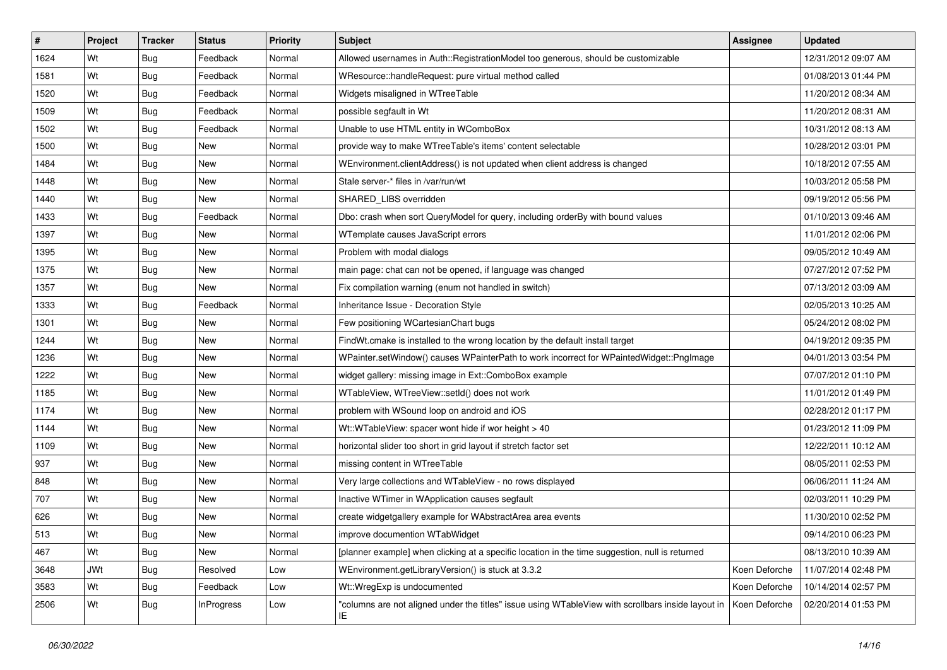| #    | Project    | <b>Tracker</b> | <b>Status</b>     | <b>Priority</b> | <b>Subject</b>                                                                                           | Assignee      | <b>Updated</b>      |
|------|------------|----------------|-------------------|-----------------|----------------------------------------------------------------------------------------------------------|---------------|---------------------|
| 1624 | Wt         | Bug            | Feedback          | Normal          | Allowed usernames in Auth::RegistrationModel too generous, should be customizable                        |               | 12/31/2012 09:07 AM |
| 1581 | Wt         | Bug            | Feedback          | Normal          | WResource::handleRequest: pure virtual method called                                                     |               | 01/08/2013 01:44 PM |
| 1520 | Wt         | <b>Bug</b>     | Feedback          | Normal          | Widgets misaligned in WTreeTable                                                                         |               | 11/20/2012 08:34 AM |
| 1509 | Wt         | Bug            | Feedback          | Normal          | possible segfault in Wt                                                                                  |               | 11/20/2012 08:31 AM |
| 1502 | Wt         | Bug            | Feedback          | Normal          | Unable to use HTML entity in WComboBox                                                                   |               | 10/31/2012 08:13 AM |
| 1500 | Wt         | Bug            | New               | Normal          | provide way to make WTreeTable's items' content selectable                                               |               | 10/28/2012 03:01 PM |
| 1484 | Wt         | Bug            | New               | Normal          | WEnvironment.clientAddress() is not updated when client address is changed                               |               | 10/18/2012 07:55 AM |
| 1448 | Wt         | Bug            | New               | Normal          | Stale server-* files in /var/run/wt                                                                      |               | 10/03/2012 05:58 PM |
| 1440 | Wt         | Bug            | New               | Normal          | SHARED_LIBS overridden                                                                                   |               | 09/19/2012 05:56 PM |
| 1433 | Wt         | Bug            | Feedback          | Normal          | Dbo: crash when sort QueryModel for query, including orderBy with bound values                           |               | 01/10/2013 09:46 AM |
| 1397 | Wt         | <b>Bug</b>     | New               | Normal          | WTemplate causes JavaScript errors                                                                       |               | 11/01/2012 02:06 PM |
| 1395 | Wt         | Bug            | New               | Normal          | Problem with modal dialogs                                                                               |               | 09/05/2012 10:49 AM |
| 1375 | Wt         | Bug            | <b>New</b>        | Normal          | main page: chat can not be opened, if language was changed                                               |               | 07/27/2012 07:52 PM |
| 1357 | Wt         | Bug            | New               | Normal          | Fix compilation warning (enum not handled in switch)                                                     |               | 07/13/2012 03:09 AM |
| 1333 | Wt         | Bug            | Feedback          | Normal          | Inheritance Issue - Decoration Style                                                                     |               | 02/05/2013 10:25 AM |
| 1301 | Wt         | Bug            | New               | Normal          | Few positioning WCartesianChart bugs                                                                     |               | 05/24/2012 08:02 PM |
| 1244 | Wt         | Bug            | <b>New</b>        | Normal          | FindWt.cmake is installed to the wrong location by the default install target                            |               | 04/19/2012 09:35 PM |
| 1236 | Wt         | Bug            | New               | Normal          | WPainter.setWindow() causes WPainterPath to work incorrect for WPaintedWidget::PngImage                  |               | 04/01/2013 03:54 PM |
| 1222 | Wt         | Bug            | New               | Normal          | widget gallery: missing image in Ext::ComboBox example                                                   |               | 07/07/2012 01:10 PM |
| 1185 | Wt         | Bug            | New               | Normal          | WTableView, WTreeView::setId() does not work                                                             |               | 11/01/2012 01:49 PM |
| 1174 | Wt         | <b>Bug</b>     | New               | Normal          | problem with WSound loop on android and iOS                                                              |               | 02/28/2012 01:17 PM |
| 1144 | Wt         | <b>Bug</b>     | New               | Normal          | Wt::WTableView: spacer wont hide if wor height > 40                                                      |               | 01/23/2012 11:09 PM |
| 1109 | Wt         | Bug            | New               | Normal          | horizontal slider too short in grid layout if stretch factor set                                         |               | 12/22/2011 10:12 AM |
| 937  | Wt         | <b>Bug</b>     | New               | Normal          | missing content in WTreeTable                                                                            |               | 08/05/2011 02:53 PM |
| 848  | Wt         | <b>Bug</b>     | New               | Normal          | Very large collections and WTableView - no rows displayed                                                |               | 06/06/2011 11:24 AM |
| 707  | Wt         | Bug            | New               | Normal          | Inactive WTimer in WApplication causes segfault                                                          |               | 02/03/2011 10:29 PM |
| 626  | Wt         | Bug            | New               | Normal          | create widgetgallery example for WAbstractArea area events                                               |               | 11/30/2010 02:52 PM |
| 513  | Wt         | <b>Bug</b>     | New               | Normal          | improve documention WTabWidget                                                                           |               | 09/14/2010 06:23 PM |
| 467  | Wt         | <b>Bug</b>     | New               | Normal          | [planner example] when clicking at a specific location in the time suggestion, null is returned          |               | 08/13/2010 10:39 AM |
| 3648 | <b>JWt</b> | <b>Bug</b>     | Resolved          | Low             | WEnvironment.getLibraryVersion() is stuck at 3.3.2                                                       | Koen Deforche | 11/07/2014 02:48 PM |
| 3583 | Wt         | Bug            | Feedback          | Low             | Wt::WregExp is undocumented                                                                              | Koen Deforche | 10/14/2014 02:57 PM |
| 2506 | Wt         | <b>Bug</b>     | <b>InProgress</b> | Low             | "columns are not aligned under the titles" issue using WTableView with scrollbars inside layout in<br>ΙE | Koen Deforche | 02/20/2014 01:53 PM |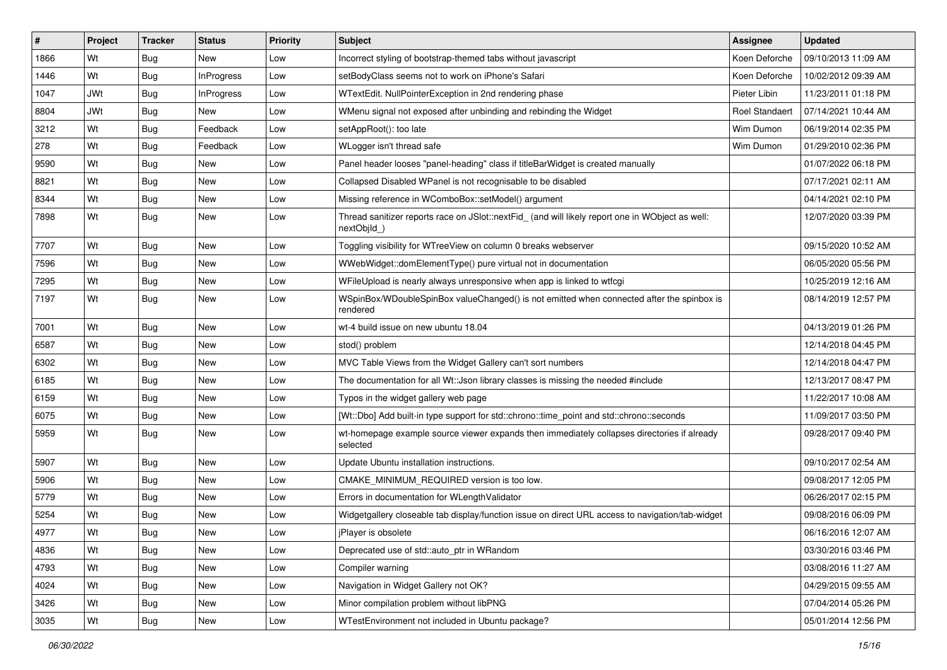| #    | Project    | <b>Tracker</b> | <b>Status</b>     | <b>Priority</b> | <b>Subject</b>                                                                                                 | Assignee              | <b>Updated</b>      |
|------|------------|----------------|-------------------|-----------------|----------------------------------------------------------------------------------------------------------------|-----------------------|---------------------|
| 1866 | Wt         | Bug            | New               | Low             | Incorrect styling of bootstrap-themed tabs without javascript                                                  | Koen Deforche         | 09/10/2013 11:09 AM |
| 1446 | Wt         | <b>Bug</b>     | <b>InProgress</b> | Low             | setBodyClass seems not to work on iPhone's Safari                                                              | Koen Deforche         | 10/02/2012 09:39 AM |
| 1047 | <b>JWt</b> | <b>Bug</b>     | <b>InProgress</b> | Low             | WTextEdit. NullPointerException in 2nd rendering phase                                                         | Pieter Libin          | 11/23/2011 01:18 PM |
| 8804 | <b>JWt</b> | <b>Bug</b>     | New               | Low             | WMenu signal not exposed after unbinding and rebinding the Widget                                              | <b>Roel Standaert</b> | 07/14/2021 10:44 AM |
| 3212 | Wt         | <b>Bug</b>     | Feedback          | Low             | setAppRoot(): too late                                                                                         | Wim Dumon             | 06/19/2014 02:35 PM |
| 278  | Wt         | <b>Bug</b>     | Feedback          | Low             | WLogger isn't thread safe                                                                                      | Wim Dumon             | 01/29/2010 02:36 PM |
| 9590 | Wt         | Bug            | New               | Low             | Panel header looses "panel-heading" class if titleBarWidget is created manually                                |                       | 01/07/2022 06:18 PM |
| 8821 | Wt         | <b>Bug</b>     | <b>New</b>        | Low             | Collapsed Disabled WPanel is not recognisable to be disabled                                                   |                       | 07/17/2021 02:11 AM |
| 8344 | Wt         | <b>Bug</b>     | <b>New</b>        | Low             | Missing reference in WComboBox::setModel() argument                                                            |                       | 04/14/2021 02:10 PM |
| 7898 | Wt         | Bug            | New               | Low             | Thread sanitizer reports race on JSlot::nextFid_ (and will likely report one in WObject as well:<br>nextObild) |                       | 12/07/2020 03:39 PM |
| 7707 | Wt         | <b>Bug</b>     | New               | Low             | Toggling visibility for WTreeView on column 0 breaks webserver                                                 |                       | 09/15/2020 10:52 AM |
| 7596 | Wt         | Bug            | <b>New</b>        | Low             | WWebWidget::domElementType() pure virtual not in documentation                                                 |                       | 06/05/2020 05:56 PM |
| 7295 | Wt         | <b>Bug</b>     | New               | Low             | WFileUpload is nearly always unresponsive when app is linked to wtfcqi                                         |                       | 10/25/2019 12:16 AM |
| 7197 | Wt         | <b>Bug</b>     | New               | Low             | WSpinBox/WDoubleSpinBox valueChanged() is not emitted when connected after the spinbox is<br>rendered          |                       | 08/14/2019 12:57 PM |
| 7001 | Wt         | Bug            | <b>New</b>        | Low             | wt-4 build issue on new ubuntu 18.04                                                                           |                       | 04/13/2019 01:26 PM |
| 6587 | Wt         | <b>Bug</b>     | <b>New</b>        | Low             | stod() problem                                                                                                 |                       | 12/14/2018 04:45 PM |
| 6302 | Wt         | <b>Bug</b>     | New               | Low             | MVC Table Views from the Widget Gallery can't sort numbers                                                     |                       | 12/14/2018 04:47 PM |
| 6185 | Wt         | Bug            | New               | Low             | The documentation for all Wt:: Json library classes is missing the needed #include                             |                       | 12/13/2017 08:47 PM |
| 6159 | Wt         | <b>Bug</b>     | <b>New</b>        | Low             | Typos in the widget gallery web page                                                                           |                       | 11/22/2017 10:08 AM |
| 6075 | Wt         | Bug            | <b>New</b>        | Low             | [Wt::Dbo] Add built-in type support for std::chrono::time_point and std::chrono::seconds                       |                       | 11/09/2017 03:50 PM |
| 5959 | Wt         | <b>Bug</b>     | <b>New</b>        | Low             | wt-homepage example source viewer expands then immediately collapses directories if already<br>selected        |                       | 09/28/2017 09:40 PM |
| 5907 | Wt         | Bug            | <b>New</b>        | Low             | Update Ubuntu installation instructions.                                                                       |                       | 09/10/2017 02:54 AM |
| 5906 | Wt         | <b>Bug</b>     | <b>New</b>        | Low             | CMAKE MINIMUM REQUIRED version is too low.                                                                     |                       | 09/08/2017 12:05 PM |
| 5779 | Wt         | <b>Bug</b>     | New               | Low             | Errors in documentation for WLengthValidator                                                                   |                       | 06/26/2017 02:15 PM |
| 5254 | Wt         | Bug            | New               | Low             | Widgetgallery closeable tab display/function issue on direct URL access to navigation/tab-widget               |                       | 09/08/2016 06:09 PM |
| 4977 | Wt         | Bug            | New               | Low             | jPlayer is obsolete                                                                                            |                       | 06/16/2016 12:07 AM |
| 4836 | Wt         | <b>Bug</b>     | New               | Low             | Deprecated use of std::auto_ptr in WRandom                                                                     |                       | 03/30/2016 03:46 PM |
| 4793 | Wt         | Bug            | New               | Low             | Compiler warning                                                                                               |                       | 03/08/2016 11:27 AM |
| 4024 | Wt         | <b>Bug</b>     | New               | Low             | Navigation in Widget Gallery not OK?                                                                           |                       | 04/29/2015 09:55 AM |
| 3426 | Wt         | Bug            | New               | Low             | Minor compilation problem without libPNG                                                                       |                       | 07/04/2014 05:26 PM |
| 3035 | Wt         | <b>Bug</b>     | New               | Low             | WTestEnvironment not included in Ubuntu package?                                                               |                       | 05/01/2014 12:56 PM |